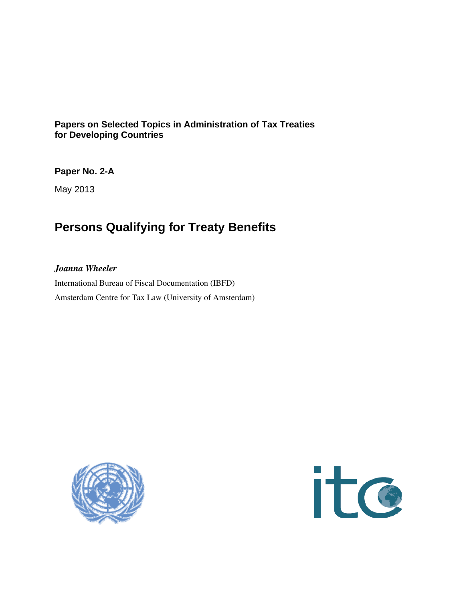# **Papers on Selected Topics in Administration of Tax Treaties for Developing Countries**

**Paper No. 2-A** 

May 2013

# **Persons Qualifying for Treaty Benefits**

# *Joanna Wheeler*

International Bureau of Fiscal Documentation (IBFD) Amsterdam Centre for Tax Law (University of Amsterdam)



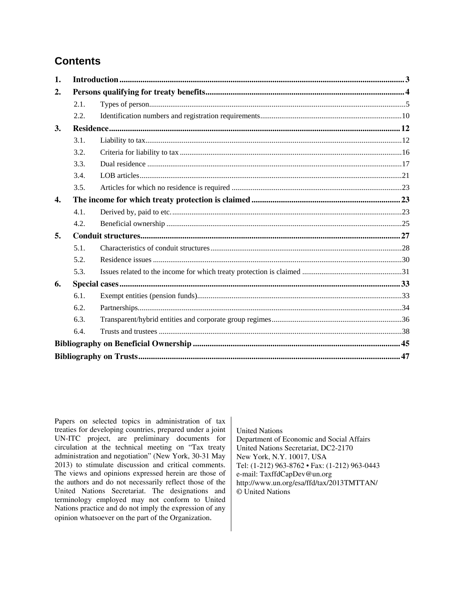# **Contents**

| 2.<br>2.1.<br>2.2.<br>3.<br>3.1.<br>3.2.<br>3.3.<br>3.4.<br>3.5.<br>4.<br>4.1.<br>4.2.<br>5.<br>5.1.<br>5.2.<br>5.3.<br>6.<br>6.1.<br>6.2.<br>6.3.<br>6.4. | 1. |  |  |  |
|------------------------------------------------------------------------------------------------------------------------------------------------------------|----|--|--|--|
|                                                                                                                                                            |    |  |  |  |
|                                                                                                                                                            |    |  |  |  |
|                                                                                                                                                            |    |  |  |  |
|                                                                                                                                                            |    |  |  |  |
|                                                                                                                                                            |    |  |  |  |
|                                                                                                                                                            |    |  |  |  |
|                                                                                                                                                            |    |  |  |  |
|                                                                                                                                                            |    |  |  |  |
|                                                                                                                                                            |    |  |  |  |
|                                                                                                                                                            |    |  |  |  |
|                                                                                                                                                            |    |  |  |  |
|                                                                                                                                                            |    |  |  |  |
|                                                                                                                                                            |    |  |  |  |
|                                                                                                                                                            |    |  |  |  |
|                                                                                                                                                            |    |  |  |  |
|                                                                                                                                                            |    |  |  |  |
|                                                                                                                                                            |    |  |  |  |
|                                                                                                                                                            |    |  |  |  |
|                                                                                                                                                            |    |  |  |  |
|                                                                                                                                                            |    |  |  |  |
|                                                                                                                                                            |    |  |  |  |
|                                                                                                                                                            |    |  |  |  |
|                                                                                                                                                            |    |  |  |  |

Papers on selected topics in administration of tax treaties for developing countries, prepared under a joint UN-ITC project, are preliminary documents for circulation at the technical meeting on "Tax treaty administration and negotiation" (New York, 30-31 May 2013) to stimulate discussion and critical comments. The views and opinions expressed herein are those of the authors and do not necessarily reflect those of the United Nations Secretariat. The designations and terminology employed may not conform to United Nations practice and do not imply the expression of any opinion whatsoever on the part of the Organization.

United Nations Department of Economic and Social Affairs United Nations Secretariat, DC2-2170 New York, N.Y. 10017, USA Tel: (1-212) 963-8762 • Fax: (1-212) 963-0443 e-mail: TaxffdCapDev@un.org http://www.un.org/esa/ffd/tax/2013TMTTAN/ © United Nations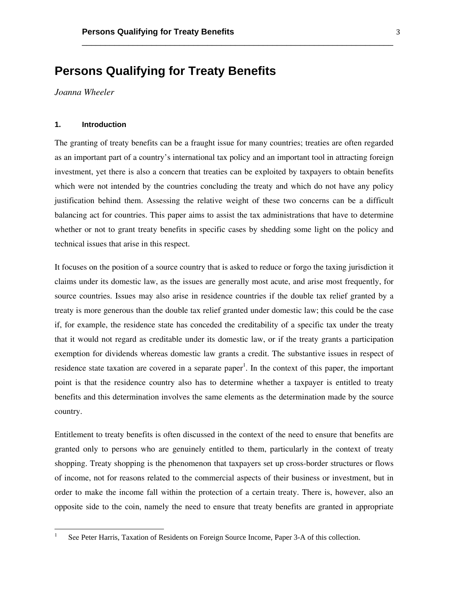# **Persons Qualifying for Treaty Benefits**

*Joanna Wheeler* 

## **1. Introduction**

The granting of treaty benefits can be a fraught issue for many countries; treaties are often regarded as an important part of a country's international tax policy and an important tool in attracting foreign investment, yet there is also a concern that treaties can be exploited by taxpayers to obtain benefits which were not intended by the countries concluding the treaty and which do not have any policy justification behind them. Assessing the relative weight of these two concerns can be a difficult balancing act for countries. This paper aims to assist the tax administrations that have to determine whether or not to grant treaty benefits in specific cases by shedding some light on the policy and technical issues that arise in this respect.

\_\_\_\_\_\_\_\_\_\_\_\_\_\_\_\_\_\_\_\_\_\_\_\_\_\_\_\_\_\_\_\_\_\_\_\_\_\_\_\_\_\_\_\_\_\_\_\_\_\_\_\_\_\_\_\_\_\_\_\_\_\_\_\_\_\_\_

It focuses on the position of a source country that is asked to reduce or forgo the taxing jurisdiction it claims under its domestic law, as the issues are generally most acute, and arise most frequently, for source countries. Issues may also arise in residence countries if the double tax relief granted by a treaty is more generous than the double tax relief granted under domestic law; this could be the case if, for example, the residence state has conceded the creditability of a specific tax under the treaty that it would not regard as creditable under its domestic law, or if the treaty grants a participation exemption for dividends whereas domestic law grants a credit. The substantive issues in respect of residence state taxation are covered in a separate paper<sup>1</sup>. In the context of this paper, the important point is that the residence country also has to determine whether a taxpayer is entitled to treaty benefits and this determination involves the same elements as the determination made by the source country.

Entitlement to treaty benefits is often discussed in the context of the need to ensure that benefits are granted only to persons who are genuinely entitled to them, particularly in the context of treaty shopping. Treaty shopping is the phenomenon that taxpayers set up cross-border structures or flows of income, not for reasons related to the commercial aspects of their business or investment, but in order to make the income fall within the protection of a certain treaty. There is, however, also an opposite side to the coin, namely the need to ensure that treaty benefits are granted in appropriate

<sup>1</sup> See Peter Harris, Taxation of Residents on Foreign Source Income, Paper 3-A of this collection.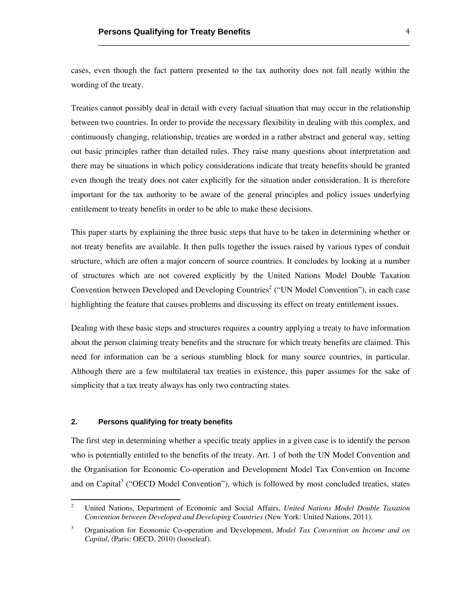cases, even though the fact pattern presented to the tax authority does not fall neatly within the wording of the treaty.

\_\_\_\_\_\_\_\_\_\_\_\_\_\_\_\_\_\_\_\_\_\_\_\_\_\_\_\_\_\_\_\_\_\_\_\_\_\_\_\_\_\_\_\_\_\_\_\_\_\_\_\_\_\_\_\_\_\_\_\_\_\_\_\_\_\_\_

Treaties cannot possibly deal in detail with every factual situation that may occur in the relationship between two countries. In order to provide the necessary flexibility in dealing with this complex, and continuously changing, relationship, treaties are worded in a rather abstract and general way, setting out basic principles rather than detailed rules. They raise many questions about interpretation and there may be situations in which policy considerations indicate that treaty benefits should be granted even though the treaty does not cater explicitly for the situation under consideration. It is therefore important for the tax authority to be aware of the general principles and policy issues underlying entitlement to treaty benefits in order to be able to make these decisions.

This paper starts by explaining the three basic steps that have to be taken in determining whether or not treaty benefits are available. It then pulls together the issues raised by various types of conduit structure, which are often a major concern of source countries. It concludes by looking at a number of structures which are not covered explicitly by the United Nations Model Double Taxation Convention between Developed and Developing Countries<sup>2</sup> ("UN Model Convention"), in each case highlighting the feature that causes problems and discussing its effect on treaty entitlement issues.

Dealing with these basic steps and structures requires a country applying a treaty to have information about the person claiming treaty benefits and the structure for which treaty benefits are claimed. This need for information can be a serious stumbling block for many source countries, in particular. Although there are a few multilateral tax treaties in existence, this paper assumes for the sake of simplicity that a tax treaty always has only two contracting states.

# **2. Persons qualifying for treaty benefits**

 

The first step in determining whether a specific treaty applies in a given case is to identify the person who is potentially entitled to the benefits of the treaty. Art. 1 of both the UN Model Convention and the Organisation for Economic Co-operation and Development Model Tax Convention on Income and on Capital<sup>3</sup> ("OECD Model Convention"), which is followed by most concluded treaties, states

<sup>2</sup> United Nations, Department of Economic and Social Affairs, *United Nations Model Double Taxation Convention between Developed and Developing Countries* (New York: United Nations, 2011).

<sup>3</sup> Organisation for Economic Co-operation and Development, *Model Tax Convention on Income and on Capital*, (Paris: OECD, 2010) (looseleaf).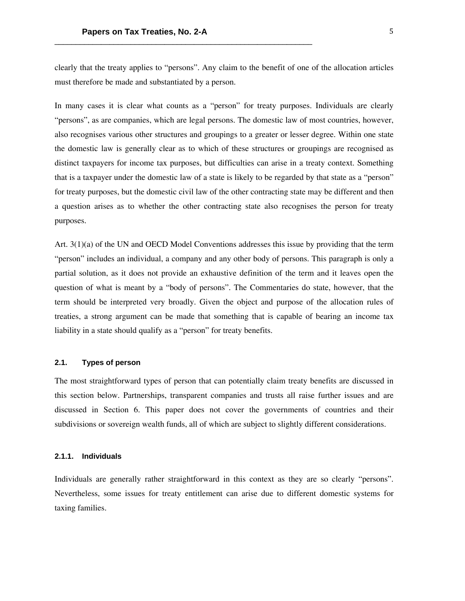clearly that the treaty applies to "persons". Any claim to the benefit of one of the allocation articles must therefore be made and substantiated by a person.

In many cases it is clear what counts as a "person" for treaty purposes. Individuals are clearly "persons", as are companies, which are legal persons. The domestic law of most countries, however, also recognises various other structures and groupings to a greater or lesser degree. Within one state the domestic law is generally clear as to which of these structures or groupings are recognised as distinct taxpayers for income tax purposes, but difficulties can arise in a treaty context. Something that is a taxpayer under the domestic law of a state is likely to be regarded by that state as a "person" for treaty purposes, but the domestic civil law of the other contracting state may be different and then a question arises as to whether the other contracting state also recognises the person for treaty purposes.

Art. 3(1)(a) of the UN and OECD Model Conventions addresses this issue by providing that the term "person" includes an individual, a company and any other body of persons. This paragraph is only a partial solution, as it does not provide an exhaustive definition of the term and it leaves open the question of what is meant by a "body of persons". The Commentaries do state, however, that the term should be interpreted very broadly. Given the object and purpose of the allocation rules of treaties, a strong argument can be made that something that is capable of bearing an income tax liability in a state should qualify as a "person" for treaty benefits.

# **2.1. Types of person**

The most straightforward types of person that can potentially claim treaty benefits are discussed in this section below. Partnerships, transparent companies and trusts all raise further issues and are discussed in Section 6. This paper does not cover the governments of countries and their subdivisions or sovereign wealth funds, all of which are subject to slightly different considerations.

#### **2.1.1. Individuals**

Individuals are generally rather straightforward in this context as they are so clearly "persons". Nevertheless, some issues for treaty entitlement can arise due to different domestic systems for taxing families.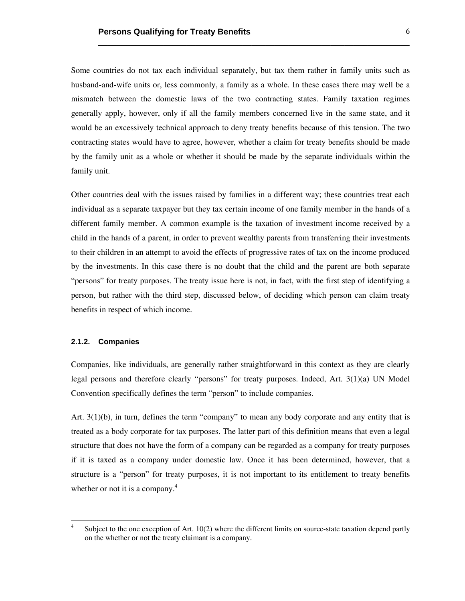Some countries do not tax each individual separately, but tax them rather in family units such as husband-and-wife units or, less commonly, a family as a whole. In these cases there may well be a mismatch between the domestic laws of the two contracting states. Family taxation regimes generally apply, however, only if all the family members concerned live in the same state, and it would be an excessively technical approach to deny treaty benefits because of this tension. The two contracting states would have to agree, however, whether a claim for treaty benefits should be made by the family unit as a whole or whether it should be made by the separate individuals within the family unit.

\_\_\_\_\_\_\_\_\_\_\_\_\_\_\_\_\_\_\_\_\_\_\_\_\_\_\_\_\_\_\_\_\_\_\_\_\_\_\_\_\_\_\_\_\_\_\_\_\_\_\_\_\_\_\_\_\_\_\_\_\_\_\_\_\_\_\_

Other countries deal with the issues raised by families in a different way; these countries treat each individual as a separate taxpayer but they tax certain income of one family member in the hands of a different family member. A common example is the taxation of investment income received by a child in the hands of a parent, in order to prevent wealthy parents from transferring their investments to their children in an attempt to avoid the effects of progressive rates of tax on the income produced by the investments. In this case there is no doubt that the child and the parent are both separate "persons" for treaty purposes. The treaty issue here is not, in fact, with the first step of identifying a person, but rather with the third step, discussed below, of deciding which person can claim treaty benefits in respect of which income.

# **2.1.2. Companies**

 

Companies, like individuals, are generally rather straightforward in this context as they are clearly legal persons and therefore clearly "persons" for treaty purposes. Indeed, Art. 3(1)(a) UN Model Convention specifically defines the term "person" to include companies.

Art. 3(1)(b), in turn, defines the term "company" to mean any body corporate and any entity that is treated as a body corporate for tax purposes. The latter part of this definition means that even a legal structure that does not have the form of a company can be regarded as a company for treaty purposes if it is taxed as a company under domestic law. Once it has been determined, however, that a structure is a "person" for treaty purposes, it is not important to its entitlement to treaty benefits whether or not it is a company.<sup>4</sup>

<sup>4</sup> Subject to the one exception of Art. 10(2) where the different limits on source-state taxation depend partly on the whether or not the treaty claimant is a company.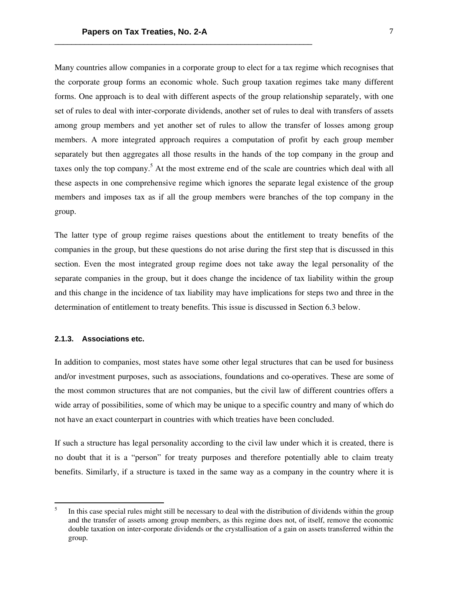Many countries allow companies in a corporate group to elect for a tax regime which recognises that the corporate group forms an economic whole. Such group taxation regimes take many different forms. One approach is to deal with different aspects of the group relationship separately, with one set of rules to deal with inter-corporate dividends, another set of rules to deal with transfers of assets among group members and yet another set of rules to allow the transfer of losses among group members. A more integrated approach requires a computation of profit by each group member separately but then aggregates all those results in the hands of the top company in the group and taxes only the top company.<sup>5</sup> At the most extreme end of the scale are countries which deal with all these aspects in one comprehensive regime which ignores the separate legal existence of the group members and imposes tax as if all the group members were branches of the top company in the group.

The latter type of group regime raises questions about the entitlement to treaty benefits of the companies in the group, but these questions do not arise during the first step that is discussed in this section. Even the most integrated group regime does not take away the legal personality of the separate companies in the group, but it does change the incidence of tax liability within the group and this change in the incidence of tax liability may have implications for steps two and three in the determination of entitlement to treaty benefits. This issue is discussed in Section 6.3 below.

# **2.1.3. Associations etc.**

 

In addition to companies, most states have some other legal structures that can be used for business and/or investment purposes, such as associations, foundations and co-operatives. These are some of the most common structures that are not companies, but the civil law of different countries offers a wide array of possibilities, some of which may be unique to a specific country and many of which do not have an exact counterpart in countries with which treaties have been concluded.

If such a structure has legal personality according to the civil law under which it is created, there is no doubt that it is a "person" for treaty purposes and therefore potentially able to claim treaty benefits. Similarly, if a structure is taxed in the same way as a company in the country where it is

<sup>5</sup> In this case special rules might still be necessary to deal with the distribution of dividends within the group and the transfer of assets among group members, as this regime does not, of itself, remove the economic double taxation on inter-corporate dividends or the crystallisation of a gain on assets transferred within the group.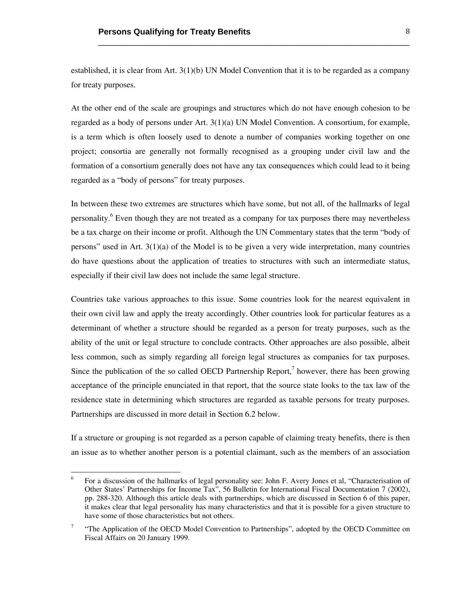established, it is clear from Art. 3(1)(b) UN Model Convention that it is to be regarded as a company for treaty purposes.

\_\_\_\_\_\_\_\_\_\_\_\_\_\_\_\_\_\_\_\_\_\_\_\_\_\_\_\_\_\_\_\_\_\_\_\_\_\_\_\_\_\_\_\_\_\_\_\_\_\_\_\_\_\_\_\_\_\_\_\_\_\_\_\_\_\_\_

At the other end of the scale are groupings and structures which do not have enough cohesion to be regarded as a body of persons under Art. 3(1)(a) UN Model Convention. A consortium, for example, is a term which is often loosely used to denote a number of companies working together on one project; consortia are generally not formally recognised as a grouping under civil law and the formation of a consortium generally does not have any tax consequences which could lead to it being regarded as a "body of persons" for treaty purposes.

In between these two extremes are structures which have some, but not all, of the hallmarks of legal personality.<sup>6</sup> Even though they are not treated as a company for tax purposes there may nevertheless be a tax charge on their income or profit. Although the UN Commentary states that the term "body of persons" used in Art.  $3(1)(a)$  of the Model is to be given a very wide interpretation, many countries do have questions about the application of treaties to structures with such an intermediate status, especially if their civil law does not include the same legal structure.

Countries take various approaches to this issue. Some countries look for the nearest equivalent in their own civil law and apply the treaty accordingly. Other countries look for particular features as a determinant of whether a structure should be regarded as a person for treaty purposes, such as the ability of the unit or legal structure to conclude contracts. Other approaches are also possible, albeit less common, such as simply regarding all foreign legal structures as companies for tax purposes. Since the publication of the so called OECD Partnership Report, $\alpha$  however, there has been growing acceptance of the principle enunciated in that report, that the source state looks to the tax law of the residence state in determining which structures are regarded as taxable persons for treaty purposes. Partnerships are discussed in more detail in Section 6.2 below.

If a structure or grouping is not regarded as a person capable of claiming treaty benefits, there is then an issue as to whether another person is a potential claimant, such as the members of an association

<sup>6</sup> For a discussion of the hallmarks of legal personality see: John F. Avery Jones et al, "Characterisation of Other States' Partnerships for Income Tax", 56 Bulletin for International Fiscal Documentation 7 (2002), pp. 288-320. Although this article deals with partnerships, which are discussed in Section 6 of this paper, it makes clear that legal personality has many characteristics and that it is possible for a given structure to have some of those characteristics but not others.

<sup>7</sup> "The Application of the OECD Model Convention to Partnerships", adopted by the OECD Committee on Fiscal Affairs on 20 January 1999.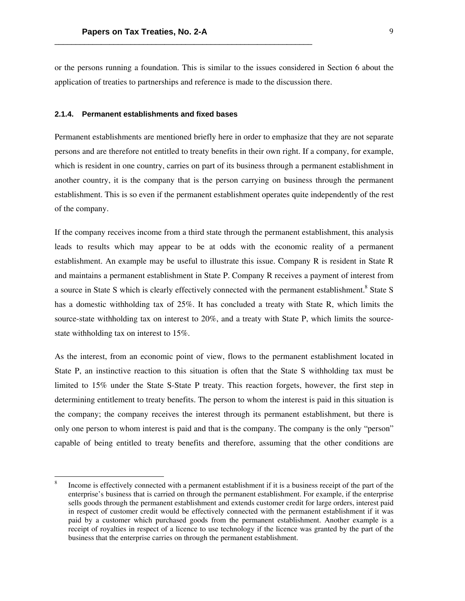or the persons running a foundation. This is similar to the issues considered in Section 6 about the application of treaties to partnerships and reference is made to the discussion there.

#### **2.1.4. Permanent establishments and fixed bases**

 

Permanent establishments are mentioned briefly here in order to emphasize that they are not separate persons and are therefore not entitled to treaty benefits in their own right. If a company, for example, which is resident in one country, carries on part of its business through a permanent establishment in another country, it is the company that is the person carrying on business through the permanent establishment. This is so even if the permanent establishment operates quite independently of the rest of the company.

If the company receives income from a third state through the permanent establishment, this analysis leads to results which may appear to be at odds with the economic reality of a permanent establishment. An example may be useful to illustrate this issue. Company R is resident in State R and maintains a permanent establishment in State P. Company R receives a payment of interest from a source in State S which is clearly effectively connected with the permanent establishment.<sup>8</sup> State S has a domestic withholding tax of 25%. It has concluded a treaty with State R, which limits the source-state withholding tax on interest to 20%, and a treaty with State P, which limits the sourcestate withholding tax on interest to 15%.

As the interest, from an economic point of view, flows to the permanent establishment located in State P, an instinctive reaction to this situation is often that the State S withholding tax must be limited to 15% under the State S-State P treaty. This reaction forgets, however, the first step in determining entitlement to treaty benefits. The person to whom the interest is paid in this situation is the company; the company receives the interest through its permanent establishment, but there is only one person to whom interest is paid and that is the company. The company is the only "person" capable of being entitled to treaty benefits and therefore, assuming that the other conditions are

<sup>8</sup> Income is effectively connected with a permanent establishment if it is a business receipt of the part of the enterprise's business that is carried on through the permanent establishment. For example, if the enterprise sells goods through the permanent establishment and extends customer credit for large orders, interest paid in respect of customer credit would be effectively connected with the permanent establishment if it was paid by a customer which purchased goods from the permanent establishment. Another example is a receipt of royalties in respect of a licence to use technology if the licence was granted by the part of the business that the enterprise carries on through the permanent establishment.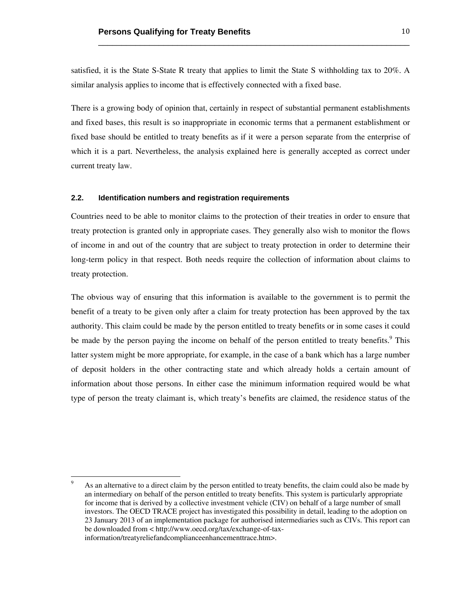satisfied, it is the State S-State R treaty that applies to limit the State S withholding tax to 20%. A similar analysis applies to income that is effectively connected with a fixed base.

\_\_\_\_\_\_\_\_\_\_\_\_\_\_\_\_\_\_\_\_\_\_\_\_\_\_\_\_\_\_\_\_\_\_\_\_\_\_\_\_\_\_\_\_\_\_\_\_\_\_\_\_\_\_\_\_\_\_\_\_\_\_\_\_\_\_\_

There is a growing body of opinion that, certainly in respect of substantial permanent establishments and fixed bases, this result is so inappropriate in economic terms that a permanent establishment or fixed base should be entitled to treaty benefits as if it were a person separate from the enterprise of which it is a part. Nevertheless, the analysis explained here is generally accepted as correct under current treaty law.

# **2.2. Identification numbers and registration requirements**

 

Countries need to be able to monitor claims to the protection of their treaties in order to ensure that treaty protection is granted only in appropriate cases. They generally also wish to monitor the flows of income in and out of the country that are subject to treaty protection in order to determine their long-term policy in that respect. Both needs require the collection of information about claims to treaty protection.

The obvious way of ensuring that this information is available to the government is to permit the benefit of a treaty to be given only after a claim for treaty protection has been approved by the tax authority. This claim could be made by the person entitled to treaty benefits or in some cases it could be made by the person paying the income on behalf of the person entitled to treaty benefits.<sup>9</sup> This latter system might be more appropriate, for example, in the case of a bank which has a large number of deposit holders in the other contracting state and which already holds a certain amount of information about those persons. In either case the minimum information required would be what type of person the treaty claimant is, which treaty's benefits are claimed, the residence status of the

 $\overline{9}$  As an alternative to a direct claim by the person entitled to treaty benefits, the claim could also be made by an intermediary on behalf of the person entitled to treaty benefits. This system is particularly appropriate for income that is derived by a collective investment vehicle (CIV) on behalf of a large number of small investors. The OECD TRACE project has investigated this possibility in detail, leading to the adoption on 23 January 2013 of an implementation package for authorised intermediaries such as CIVs. This report can be downloaded from < http://www.oecd.org/tax/exchange-of-taxinformation/treatyreliefandcomplianceenhancementtrace.htm>.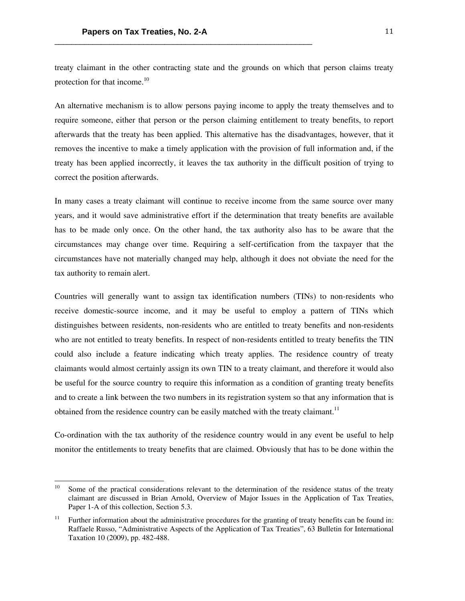treaty claimant in the other contracting state and the grounds on which that person claims treaty protection for that income.<sup>10</sup>

An alternative mechanism is to allow persons paying income to apply the treaty themselves and to require someone, either that person or the person claiming entitlement to treaty benefits, to report afterwards that the treaty has been applied. This alternative has the disadvantages, however, that it removes the incentive to make a timely application with the provision of full information and, if the treaty has been applied incorrectly, it leaves the tax authority in the difficult position of trying to correct the position afterwards.

In many cases a treaty claimant will continue to receive income from the same source over many years, and it would save administrative effort if the determination that treaty benefits are available has to be made only once. On the other hand, the tax authority also has to be aware that the circumstances may change over time. Requiring a self-certification from the taxpayer that the circumstances have not materially changed may help, although it does not obviate the need for the tax authority to remain alert.

Countries will generally want to assign tax identification numbers (TINs) to non-residents who receive domestic-source income, and it may be useful to employ a pattern of TINs which distinguishes between residents, non-residents who are entitled to treaty benefits and non-residents who are not entitled to treaty benefits. In respect of non-residents entitled to treaty benefits the TIN could also include a feature indicating which treaty applies. The residence country of treaty claimants would almost certainly assign its own TIN to a treaty claimant, and therefore it would also be useful for the source country to require this information as a condition of granting treaty benefits and to create a link between the two numbers in its registration system so that any information that is obtained from the residence country can be easily matched with the treaty claimant.<sup>11</sup>

Co-ordination with the tax authority of the residence country would in any event be useful to help monitor the entitlements to treaty benefits that are claimed. Obviously that has to be done within the

<sup>&</sup>lt;sup>10</sup> Some of the practical considerations relevant to the determination of the residence status of the treaty claimant are discussed in Brian Arnold, Overview of Major Issues in the Application of Tax Treaties, Paper 1-A of this collection, Section 5.3.

<sup>&</sup>lt;sup>11</sup> Further information about the administrative procedures for the granting of treaty benefits can be found in: Raffaele Russo, "Administrative Aspects of the Application of Tax Treaties", 63 Bulletin for International Taxation 10 (2009), pp. 482-488.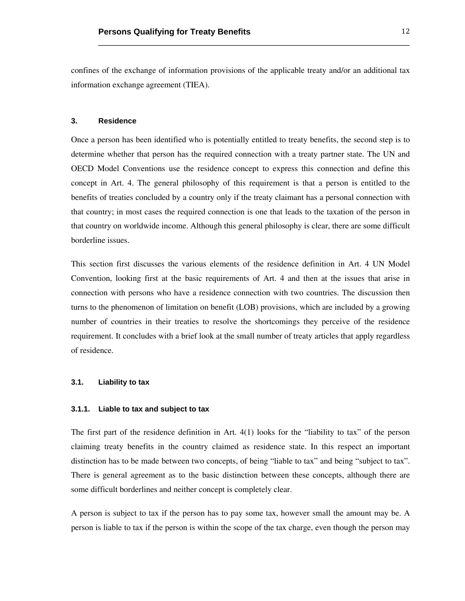confines of the exchange of information provisions of the applicable treaty and/or an additional tax information exchange agreement (TIEA).

\_\_\_\_\_\_\_\_\_\_\_\_\_\_\_\_\_\_\_\_\_\_\_\_\_\_\_\_\_\_\_\_\_\_\_\_\_\_\_\_\_\_\_\_\_\_\_\_\_\_\_\_\_\_\_\_\_\_\_\_\_\_\_\_\_\_\_

# **3. Residence**

Once a person has been identified who is potentially entitled to treaty benefits, the second step is to determine whether that person has the required connection with a treaty partner state. The UN and OECD Model Conventions use the residence concept to express this connection and define this concept in Art. 4. The general philosophy of this requirement is that a person is entitled to the benefits of treaties concluded by a country only if the treaty claimant has a personal connection with that country; in most cases the required connection is one that leads to the taxation of the person in that country on worldwide income. Although this general philosophy is clear, there are some difficult borderline issues.

This section first discusses the various elements of the residence definition in Art. 4 UN Model Convention, looking first at the basic requirements of Art. 4 and then at the issues that arise in connection with persons who have a residence connection with two countries. The discussion then turns to the phenomenon of limitation on benefit (LOB) provisions, which are included by a growing number of countries in their treaties to resolve the shortcomings they perceive of the residence requirement. It concludes with a brief look at the small number of treaty articles that apply regardless of residence.

## **3.1. Liability to tax**

#### **3.1.1. Liable to tax and subject to tax**

The first part of the residence definition in Art. 4(1) looks for the "liability to tax" of the person claiming treaty benefits in the country claimed as residence state. In this respect an important distinction has to be made between two concepts, of being "liable to tax" and being "subject to tax". There is general agreement as to the basic distinction between these concepts, although there are some difficult borderlines and neither concept is completely clear.

A person is subject to tax if the person has to pay some tax, however small the amount may be. A person is liable to tax if the person is within the scope of the tax charge, even though the person may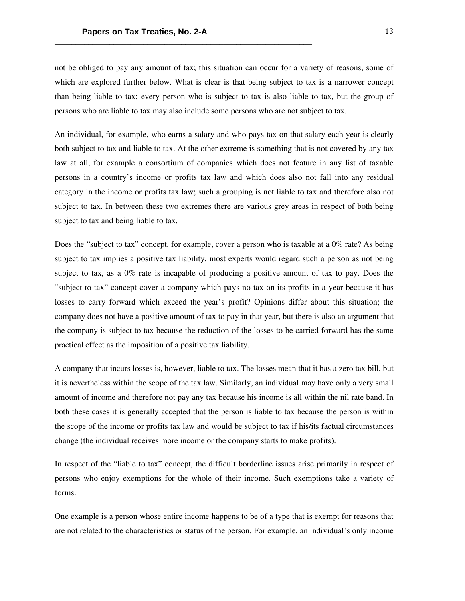not be obliged to pay any amount of tax; this situation can occur for a variety of reasons, some of which are explored further below. What is clear is that being subject to tax is a narrower concept than being liable to tax; every person who is subject to tax is also liable to tax, but the group of persons who are liable to tax may also include some persons who are not subject to tax.

An individual, for example, who earns a salary and who pays tax on that salary each year is clearly both subject to tax and liable to tax. At the other extreme is something that is not covered by any tax law at all, for example a consortium of companies which does not feature in any list of taxable persons in a country's income or profits tax law and which does also not fall into any residual category in the income or profits tax law; such a grouping is not liable to tax and therefore also not subject to tax. In between these two extremes there are various grey areas in respect of both being subject to tax and being liable to tax.

Does the "subject to tax" concept, for example, cover a person who is taxable at a 0% rate? As being subject to tax implies a positive tax liability, most experts would regard such a person as not being subject to tax, as a 0% rate is incapable of producing a positive amount of tax to pay. Does the "subject to tax" concept cover a company which pays no tax on its profits in a year because it has losses to carry forward which exceed the year's profit? Opinions differ about this situation; the company does not have a positive amount of tax to pay in that year, but there is also an argument that the company is subject to tax because the reduction of the losses to be carried forward has the same practical effect as the imposition of a positive tax liability.

A company that incurs losses is, however, liable to tax. The losses mean that it has a zero tax bill, but it is nevertheless within the scope of the tax law. Similarly, an individual may have only a very small amount of income and therefore not pay any tax because his income is all within the nil rate band. In both these cases it is generally accepted that the person is liable to tax because the person is within the scope of the income or profits tax law and would be subject to tax if his/its factual circumstances change (the individual receives more income or the company starts to make profits).

In respect of the "liable to tax" concept, the difficult borderline issues arise primarily in respect of persons who enjoy exemptions for the whole of their income. Such exemptions take a variety of forms.

One example is a person whose entire income happens to be of a type that is exempt for reasons that are not related to the characteristics or status of the person. For example, an individual's only income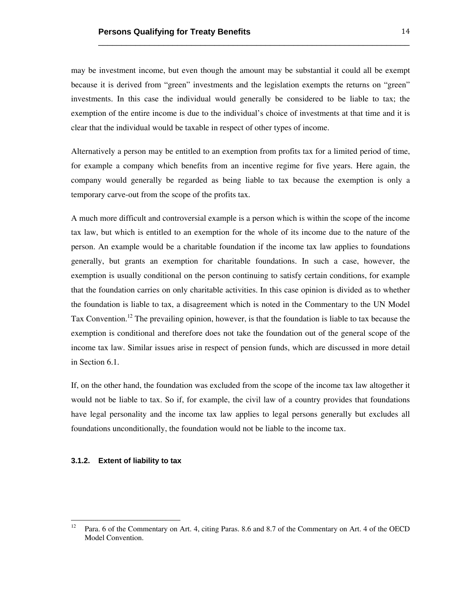may be investment income, but even though the amount may be substantial it could all be exempt because it is derived from "green" investments and the legislation exempts the returns on "green" investments. In this case the individual would generally be considered to be liable to tax; the exemption of the entire income is due to the individual's choice of investments at that time and it is clear that the individual would be taxable in respect of other types of income.

\_\_\_\_\_\_\_\_\_\_\_\_\_\_\_\_\_\_\_\_\_\_\_\_\_\_\_\_\_\_\_\_\_\_\_\_\_\_\_\_\_\_\_\_\_\_\_\_\_\_\_\_\_\_\_\_\_\_\_\_\_\_\_\_\_\_\_

Alternatively a person may be entitled to an exemption from profits tax for a limited period of time, for example a company which benefits from an incentive regime for five years. Here again, the company would generally be regarded as being liable to tax because the exemption is only a temporary carve-out from the scope of the profits tax.

A much more difficult and controversial example is a person which is within the scope of the income tax law, but which is entitled to an exemption for the whole of its income due to the nature of the person. An example would be a charitable foundation if the income tax law applies to foundations generally, but grants an exemption for charitable foundations. In such a case, however, the exemption is usually conditional on the person continuing to satisfy certain conditions, for example that the foundation carries on only charitable activities. In this case opinion is divided as to whether the foundation is liable to tax, a disagreement which is noted in the Commentary to the UN Model Tax Convention.<sup>12</sup> The prevailing opinion, however, is that the foundation is liable to tax because the exemption is conditional and therefore does not take the foundation out of the general scope of the income tax law. Similar issues arise in respect of pension funds, which are discussed in more detail in Section 6.1.

If, on the other hand, the foundation was excluded from the scope of the income tax law altogether it would not be liable to tax. So if, for example, the civil law of a country provides that foundations have legal personality and the income tax law applies to legal persons generally but excludes all foundations unconditionally, the foundation would not be liable to the income tax.

#### **3.1.2. Extent of liability to tax**

<sup>&</sup>lt;sup>12</sup> Para. 6 of the Commentary on Art. 4, citing Paras. 8.6 and 8.7 of the Commentary on Art. 4 of the OECD Model Convention.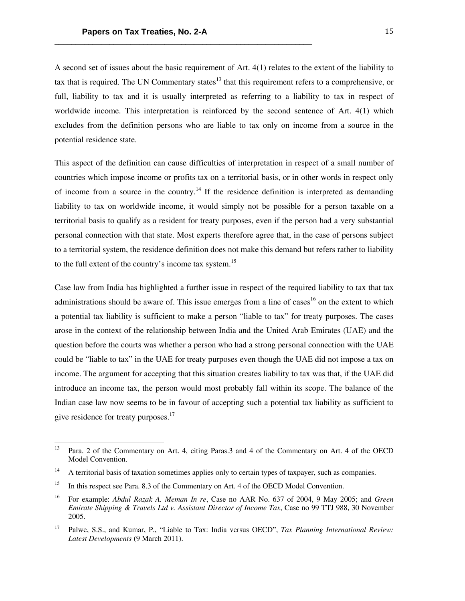A second set of issues about the basic requirement of Art. 4(1) relates to the extent of the liability to tax that is required. The UN Commentary states $^{13}$  that this requirement refers to a comprehensive, or full, liability to tax and it is usually interpreted as referring to a liability to tax in respect of worldwide income. This interpretation is reinforced by the second sentence of Art. 4(1) which excludes from the definition persons who are liable to tax only on income from a source in the potential residence state.

This aspect of the definition can cause difficulties of interpretation in respect of a small number of countries which impose income or profits tax on a territorial basis, or in other words in respect only of income from a source in the country.<sup>14</sup> If the residence definition is interpreted as demanding liability to tax on worldwide income, it would simply not be possible for a person taxable on a territorial basis to qualify as a resident for treaty purposes, even if the person had a very substantial personal connection with that state. Most experts therefore agree that, in the case of persons subject to a territorial system, the residence definition does not make this demand but refers rather to liability to the full extent of the country's income tax system.<sup>15</sup>

Case law from India has highlighted a further issue in respect of the required liability to tax that tax administrations should be aware of. This issue emerges from a line of cases<sup>16</sup> on the extent to which a potential tax liability is sufficient to make a person "liable to tax" for treaty purposes. The cases arose in the context of the relationship between India and the United Arab Emirates (UAE) and the question before the courts was whether a person who had a strong personal connection with the UAE could be "liable to tax" in the UAE for treaty purposes even though the UAE did not impose a tax on income. The argument for accepting that this situation creates liability to tax was that, if the UAE did introduce an income tax, the person would most probably fall within its scope. The balance of the Indian case law now seems to be in favour of accepting such a potential tax liability as sufficient to give residence for treaty purposes.<sup>17</sup>

<sup>&</sup>lt;sup>13</sup> Para. 2 of the Commentary on Art. 4, citing Paras. 3 and 4 of the Commentary on Art. 4 of the OECD Model Convention.

<sup>&</sup>lt;sup>14</sup> A territorial basis of taxation sometimes applies only to certain types of taxpayer, such as companies.

<sup>&</sup>lt;sup>15</sup> In this respect see Para. 8.3 of the Commentary on Art. 4 of the OECD Model Convention.

<sup>16</sup> For example: *Abdul Razak A. Meman In re*, Case no AAR No. 637 of 2004, 9 May 2005; and *Green Emirate Shipping & Travels Ltd v. Assistant Director of Income Tax*, Case no 99 TTJ 988, 30 November 2005.

<sup>17</sup> Palwe, S.S., and Kumar, P., "Liable to Tax: India versus OECD", *Tax Planning International Review: Latest Developments* (9 March 2011).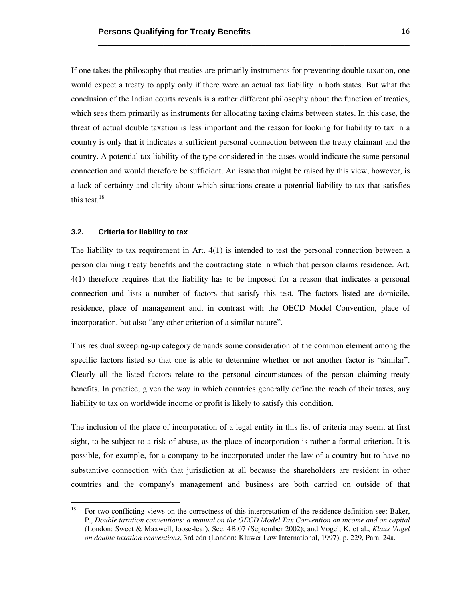If one takes the philosophy that treaties are primarily instruments for preventing double taxation, one would expect a treaty to apply only if there were an actual tax liability in both states. But what the conclusion of the Indian courts reveals is a rather different philosophy about the function of treaties, which sees them primarily as instruments for allocating taxing claims between states. In this case, the threat of actual double taxation is less important and the reason for looking for liability to tax in a country is only that it indicates a sufficient personal connection between the treaty claimant and the country. A potential tax liability of the type considered in the cases would indicate the same personal connection and would therefore be sufficient. An issue that might be raised by this view, however, is a lack of certainty and clarity about which situations create a potential liability to tax that satisfies this test. $18$ 

\_\_\_\_\_\_\_\_\_\_\_\_\_\_\_\_\_\_\_\_\_\_\_\_\_\_\_\_\_\_\_\_\_\_\_\_\_\_\_\_\_\_\_\_\_\_\_\_\_\_\_\_\_\_\_\_\_\_\_\_\_\_\_\_\_\_\_

## **3.2. Criteria for liability to tax**

 

The liability to tax requirement in Art. 4(1) is intended to test the personal connection between a person claiming treaty benefits and the contracting state in which that person claims residence. Art. 4(1) therefore requires that the liability has to be imposed for a reason that indicates a personal connection and lists a number of factors that satisfy this test. The factors listed are domicile, residence, place of management and, in contrast with the OECD Model Convention, place of incorporation, but also "any other criterion of a similar nature".

This residual sweeping-up category demands some consideration of the common element among the specific factors listed so that one is able to determine whether or not another factor is "similar". Clearly all the listed factors relate to the personal circumstances of the person claiming treaty benefits. In practice, given the way in which countries generally define the reach of their taxes, any liability to tax on worldwide income or profit is likely to satisfy this condition.

The inclusion of the place of incorporation of a legal entity in this list of criteria may seem, at first sight, to be subject to a risk of abuse, as the place of incorporation is rather a formal criterion. It is possible, for example, for a company to be incorporated under the law of a country but to have no substantive connection with that jurisdiction at all because the shareholders are resident in other countries and the company's management and business are both carried on outside of that

<sup>&</sup>lt;sup>18</sup> For two conflicting views on the correctness of this interpretation of the residence definition see: Baker, P., *Double taxation conventions: a manual on the OECD Model Tax Convention on income and on capital* (London: Sweet & Maxwell, loose-leaf), Sec. 4B.07 (September 2002); and Vogel, K. et al., *Klaus Vogel on double taxation conventions*, 3rd edn (London: Kluwer Law International, 1997), p. 229, Para. 24a.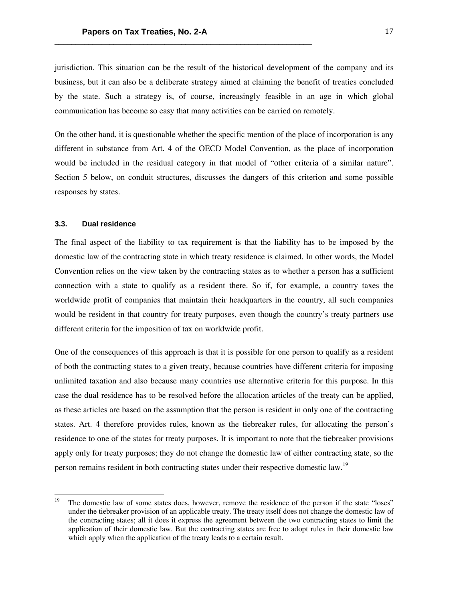jurisdiction. This situation can be the result of the historical development of the company and its business, but it can also be a deliberate strategy aimed at claiming the benefit of treaties concluded by the state. Such a strategy is, of course, increasingly feasible in an age in which global communication has become so easy that many activities can be carried on remotely.

On the other hand, it is questionable whether the specific mention of the place of incorporation is any different in substance from Art. 4 of the OECD Model Convention, as the place of incorporation would be included in the residual category in that model of "other criteria of a similar nature". Section 5 below, on conduit structures, discusses the dangers of this criterion and some possible responses by states.

# **3.3. Dual residence**

 

The final aspect of the liability to tax requirement is that the liability has to be imposed by the domestic law of the contracting state in which treaty residence is claimed. In other words, the Model Convention relies on the view taken by the contracting states as to whether a person has a sufficient connection with a state to qualify as a resident there. So if, for example, a country taxes the worldwide profit of companies that maintain their headquarters in the country, all such companies would be resident in that country for treaty purposes, even though the country's treaty partners use different criteria for the imposition of tax on worldwide profit.

One of the consequences of this approach is that it is possible for one person to qualify as a resident of both the contracting states to a given treaty, because countries have different criteria for imposing unlimited taxation and also because many countries use alternative criteria for this purpose. In this case the dual residence has to be resolved before the allocation articles of the treaty can be applied, as these articles are based on the assumption that the person is resident in only one of the contracting states. Art. 4 therefore provides rules, known as the tiebreaker rules, for allocating the person's residence to one of the states for treaty purposes. It is important to note that the tiebreaker provisions apply only for treaty purposes; they do not change the domestic law of either contracting state, so the person remains resident in both contracting states under their respective domestic law.<sup>19</sup>

<sup>&</sup>lt;sup>19</sup> The domestic law of some states does, however, remove the residence of the person if the state "loses" under the tiebreaker provision of an applicable treaty. The treaty itself does not change the domestic law of the contracting states; all it does it express the agreement between the two contracting states to limit the application of their domestic law. But the contracting states are free to adopt rules in their domestic law which apply when the application of the treaty leads to a certain result.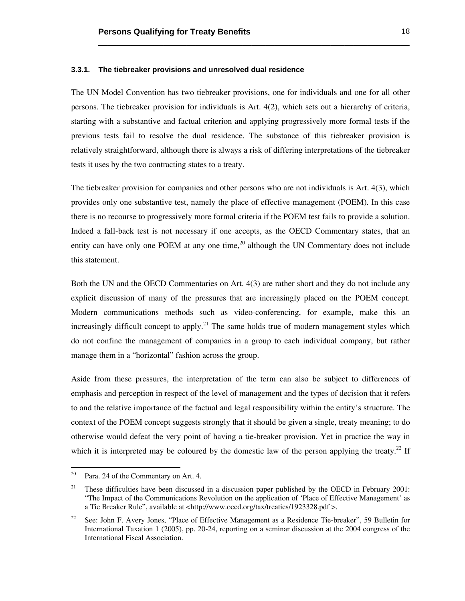#### **3.3.1. The tiebreaker provisions and unresolved dual residence**

The UN Model Convention has two tiebreaker provisions, one for individuals and one for all other persons. The tiebreaker provision for individuals is Art. 4(2), which sets out a hierarchy of criteria, starting with a substantive and factual criterion and applying progressively more formal tests if the previous tests fail to resolve the dual residence. The substance of this tiebreaker provision is relatively straightforward, although there is always a risk of differing interpretations of the tiebreaker tests it uses by the two contracting states to a treaty.

\_\_\_\_\_\_\_\_\_\_\_\_\_\_\_\_\_\_\_\_\_\_\_\_\_\_\_\_\_\_\_\_\_\_\_\_\_\_\_\_\_\_\_\_\_\_\_\_\_\_\_\_\_\_\_\_\_\_\_\_\_\_\_\_\_\_\_

The tiebreaker provision for companies and other persons who are not individuals is Art. 4(3), which provides only one substantive test, namely the place of effective management (POEM). In this case there is no recourse to progressively more formal criteria if the POEM test fails to provide a solution. Indeed a fall-back test is not necessary if one accepts, as the OECD Commentary states, that an entity can have only one POEM at any one time,<sup>20</sup> although the UN Commentary does not include this statement.

Both the UN and the OECD Commentaries on Art. 4(3) are rather short and they do not include any explicit discussion of many of the pressures that are increasingly placed on the POEM concept. Modern communications methods such as video-conferencing, for example, make this an increasingly difficult concept to apply.<sup>21</sup> The same holds true of modern management styles which do not confine the management of companies in a group to each individual company, but rather manage them in a "horizontal" fashion across the group.

Aside from these pressures, the interpretation of the term can also be subject to differences of emphasis and perception in respect of the level of management and the types of decision that it refers to and the relative importance of the factual and legal responsibility within the entity's structure. The context of the POEM concept suggests strongly that it should be given a single, treaty meaning; to do otherwise would defeat the very point of having a tie-breaker provision. Yet in practice the way in which it is interpreted may be coloured by the domestic law of the person applying the treaty.<sup>22</sup> If

 $20$  Para. 24 of the Commentary on Art. 4.

<sup>&</sup>lt;sup>21</sup> These difficulties have been discussed in a discussion paper published by the OECD in February 2001: "The Impact of the Communications Revolution on the application of 'Place of Effective Management' as a Tie Breaker Rule", available at <http://www.oecd.org/tax/treaties/1923328.pdf >.

<sup>&</sup>lt;sup>22</sup> See: John F. Avery Jones, "Place of Effective Management as a Residence Tie-breaker", 59 Bulletin for International Taxation 1 (2005), pp. 20-24, reporting on a seminar discussion at the 2004 congress of the International Fiscal Association.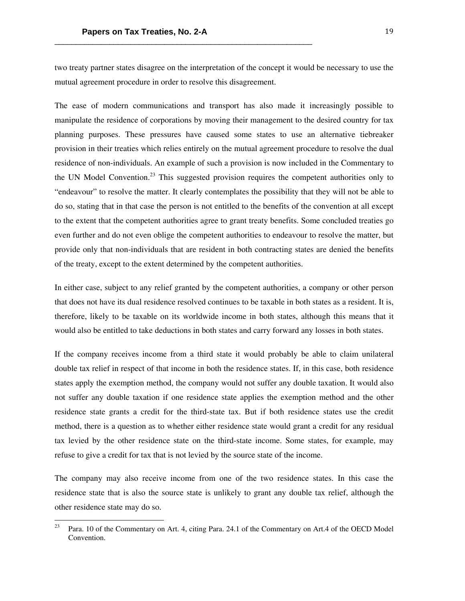two treaty partner states disagree on the interpretation of the concept it would be necessary to use the mutual agreement procedure in order to resolve this disagreement.

The ease of modern communications and transport has also made it increasingly possible to manipulate the residence of corporations by moving their management to the desired country for tax planning purposes. These pressures have caused some states to use an alternative tiebreaker provision in their treaties which relies entirely on the mutual agreement procedure to resolve the dual residence of non-individuals. An example of such a provision is now included in the Commentary to the UN Model Convention.<sup>23</sup> This suggested provision requires the competent authorities only to "endeavour" to resolve the matter. It clearly contemplates the possibility that they will not be able to do so, stating that in that case the person is not entitled to the benefits of the convention at all except to the extent that the competent authorities agree to grant treaty benefits. Some concluded treaties go even further and do not even oblige the competent authorities to endeavour to resolve the matter, but provide only that non-individuals that are resident in both contracting states are denied the benefits of the treaty, except to the extent determined by the competent authorities.

In either case, subject to any relief granted by the competent authorities, a company or other person that does not have its dual residence resolved continues to be taxable in both states as a resident. It is, therefore, likely to be taxable on its worldwide income in both states, although this means that it would also be entitled to take deductions in both states and carry forward any losses in both states.

If the company receives income from a third state it would probably be able to claim unilateral double tax relief in respect of that income in both the residence states. If, in this case, both residence states apply the exemption method, the company would not suffer any double taxation. It would also not suffer any double taxation if one residence state applies the exemption method and the other residence state grants a credit for the third-state tax. But if both residence states use the credit method, there is a question as to whether either residence state would grant a credit for any residual tax levied by the other residence state on the third-state income. Some states, for example, may refuse to give a credit for tax that is not levied by the source state of the income.

The company may also receive income from one of the two residence states. In this case the residence state that is also the source state is unlikely to grant any double tax relief, although the other residence state may do so.

Para. 10 of the Commentary on Art. 4, citing Para. 24.1 of the Commentary on Art.4 of the OECD Model Convention.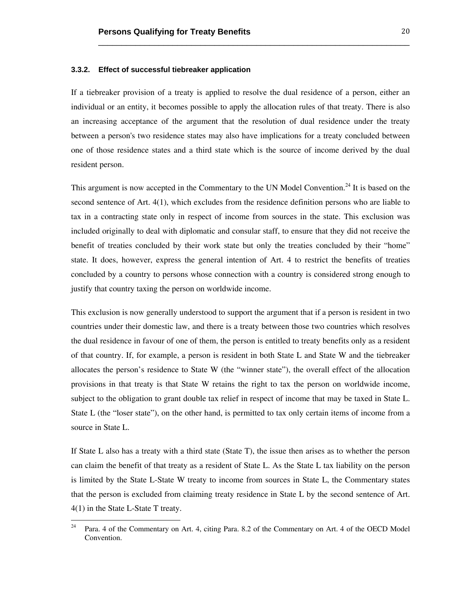#### **3.3.2. Effect of successful tiebreaker application**

If a tiebreaker provision of a treaty is applied to resolve the dual residence of a person, either an individual or an entity, it becomes possible to apply the allocation rules of that treaty. There is also an increasing acceptance of the argument that the resolution of dual residence under the treaty between a person's two residence states may also have implications for a treaty concluded between one of those residence states and a third state which is the source of income derived by the dual resident person.

\_\_\_\_\_\_\_\_\_\_\_\_\_\_\_\_\_\_\_\_\_\_\_\_\_\_\_\_\_\_\_\_\_\_\_\_\_\_\_\_\_\_\_\_\_\_\_\_\_\_\_\_\_\_\_\_\_\_\_\_\_\_\_\_\_\_\_

This argument is now accepted in the Commentary to the UN Model Convention.<sup>24</sup> It is based on the second sentence of Art. 4(1), which excludes from the residence definition persons who are liable to tax in a contracting state only in respect of income from sources in the state. This exclusion was included originally to deal with diplomatic and consular staff, to ensure that they did not receive the benefit of treaties concluded by their work state but only the treaties concluded by their "home" state. It does, however, express the general intention of Art. 4 to restrict the benefits of treaties concluded by a country to persons whose connection with a country is considered strong enough to justify that country taxing the person on worldwide income.

This exclusion is now generally understood to support the argument that if a person is resident in two countries under their domestic law, and there is a treaty between those two countries which resolves the dual residence in favour of one of them, the person is entitled to treaty benefits only as a resident of that country. If, for example, a person is resident in both State L and State W and the tiebreaker allocates the person's residence to State W (the "winner state"), the overall effect of the allocation provisions in that treaty is that State W retains the right to tax the person on worldwide income, subject to the obligation to grant double tax relief in respect of income that may be taxed in State L. State L (the "loser state"), on the other hand, is permitted to tax only certain items of income from a source in State L.

If State L also has a treaty with a third state (State T), the issue then arises as to whether the person can claim the benefit of that treaty as a resident of State L. As the State L tax liability on the person is limited by the State L-State W treaty to income from sources in State L, the Commentary states that the person is excluded from claiming treaty residence in State L by the second sentence of Art. 4(1) in the State L-State T treaty.

<sup>24</sup> Para. 4 of the Commentary on Art. 4, citing Para. 8.2 of the Commentary on Art. 4 of the OECD Model Convention.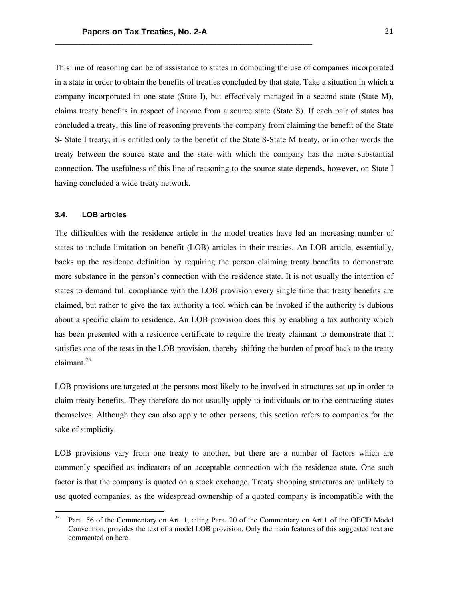This line of reasoning can be of assistance to states in combating the use of companies incorporated in a state in order to obtain the benefits of treaties concluded by that state. Take a situation in which a company incorporated in one state (State I), but effectively managed in a second state (State M), claims treaty benefits in respect of income from a source state (State S). If each pair of states has concluded a treaty, this line of reasoning prevents the company from claiming the benefit of the State S- State I treaty; it is entitled only to the benefit of the State S-State M treaty, or in other words the treaty between the source state and the state with which the company has the more substantial connection. The usefulness of this line of reasoning to the source state depends, however, on State I having concluded a wide treaty network.

#### **3.4. LOB articles**

 

The difficulties with the residence article in the model treaties have led an increasing number of states to include limitation on benefit (LOB) articles in their treaties. An LOB article, essentially, backs up the residence definition by requiring the person claiming treaty benefits to demonstrate more substance in the person's connection with the residence state. It is not usually the intention of states to demand full compliance with the LOB provision every single time that treaty benefits are claimed, but rather to give the tax authority a tool which can be invoked if the authority is dubious about a specific claim to residence. An LOB provision does this by enabling a tax authority which has been presented with a residence certificate to require the treaty claimant to demonstrate that it satisfies one of the tests in the LOB provision, thereby shifting the burden of proof back to the treaty claimant.25

LOB provisions are targeted at the persons most likely to be involved in structures set up in order to claim treaty benefits. They therefore do not usually apply to individuals or to the contracting states themselves. Although they can also apply to other persons, this section refers to companies for the sake of simplicity.

LOB provisions vary from one treaty to another, but there are a number of factors which are commonly specified as indicators of an acceptable connection with the residence state. One such factor is that the company is quoted on a stock exchange. Treaty shopping structures are unlikely to use quoted companies, as the widespread ownership of a quoted company is incompatible with the

<sup>&</sup>lt;sup>25</sup> Para. 56 of the Commentary on Art. 1, citing Para. 20 of the Commentary on Art.1 of the OECD Model Convention, provides the text of a model LOB provision. Only the main features of this suggested text are commented on here.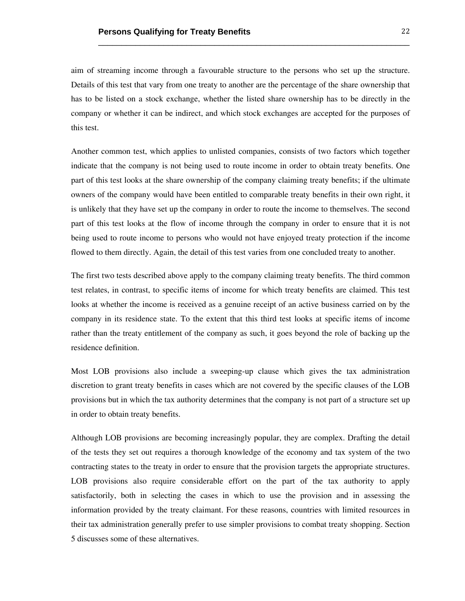aim of streaming income through a favourable structure to the persons who set up the structure. Details of this test that vary from one treaty to another are the percentage of the share ownership that has to be listed on a stock exchange, whether the listed share ownership has to be directly in the company or whether it can be indirect, and which stock exchanges are accepted for the purposes of this test.

\_\_\_\_\_\_\_\_\_\_\_\_\_\_\_\_\_\_\_\_\_\_\_\_\_\_\_\_\_\_\_\_\_\_\_\_\_\_\_\_\_\_\_\_\_\_\_\_\_\_\_\_\_\_\_\_\_\_\_\_\_\_\_\_\_\_\_

Another common test, which applies to unlisted companies, consists of two factors which together indicate that the company is not being used to route income in order to obtain treaty benefits. One part of this test looks at the share ownership of the company claiming treaty benefits; if the ultimate owners of the company would have been entitled to comparable treaty benefits in their own right, it is unlikely that they have set up the company in order to route the income to themselves. The second part of this test looks at the flow of income through the company in order to ensure that it is not being used to route income to persons who would not have enjoyed treaty protection if the income flowed to them directly. Again, the detail of this test varies from one concluded treaty to another.

The first two tests described above apply to the company claiming treaty benefits. The third common test relates, in contrast, to specific items of income for which treaty benefits are claimed. This test looks at whether the income is received as a genuine receipt of an active business carried on by the company in its residence state. To the extent that this third test looks at specific items of income rather than the treaty entitlement of the company as such, it goes beyond the role of backing up the residence definition.

Most LOB provisions also include a sweeping-up clause which gives the tax administration discretion to grant treaty benefits in cases which are not covered by the specific clauses of the LOB provisions but in which the tax authority determines that the company is not part of a structure set up in order to obtain treaty benefits.

Although LOB provisions are becoming increasingly popular, they are complex. Drafting the detail of the tests they set out requires a thorough knowledge of the economy and tax system of the two contracting states to the treaty in order to ensure that the provision targets the appropriate structures. LOB provisions also require considerable effort on the part of the tax authority to apply satisfactorily, both in selecting the cases in which to use the provision and in assessing the information provided by the treaty claimant. For these reasons, countries with limited resources in their tax administration generally prefer to use simpler provisions to combat treaty shopping. Section 5 discusses some of these alternatives.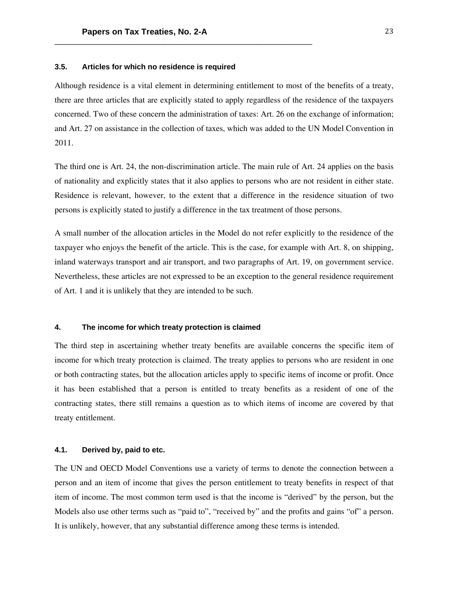# **3.5. Articles for which no residence is required**

Although residence is a vital element in determining entitlement to most of the benefits of a treaty, there are three articles that are explicitly stated to apply regardless of the residence of the taxpayers concerned. Two of these concern the administration of taxes: Art. 26 on the exchange of information; and Art. 27 on assistance in the collection of taxes, which was added to the UN Model Convention in 2011.

The third one is Art. 24, the non-discrimination article. The main rule of Art. 24 applies on the basis of nationality and explicitly states that it also applies to persons who are not resident in either state. Residence is relevant, however, to the extent that a difference in the residence situation of two persons is explicitly stated to justify a difference in the tax treatment of those persons.

A small number of the allocation articles in the Model do not refer explicitly to the residence of the taxpayer who enjoys the benefit of the article. This is the case, for example with Art. 8, on shipping, inland waterways transport and air transport, and two paragraphs of Art. 19, on government service. Nevertheless, these articles are not expressed to be an exception to the general residence requirement of Art. 1 and it is unlikely that they are intended to be such.

#### **4. The income for which treaty protection is claimed**

The third step in ascertaining whether treaty benefits are available concerns the specific item of income for which treaty protection is claimed. The treaty applies to persons who are resident in one or both contracting states, but the allocation articles apply to specific items of income or profit. Once it has been established that a person is entitled to treaty benefits as a resident of one of the contracting states, there still remains a question as to which items of income are covered by that treaty entitlement.

#### **4.1. Derived by, paid to etc.**

The UN and OECD Model Conventions use a variety of terms to denote the connection between a person and an item of income that gives the person entitlement to treaty benefits in respect of that item of income. The most common term used is that the income is "derived" by the person, but the Models also use other terms such as "paid to", "received by" and the profits and gains "of" a person. It is unlikely, however, that any substantial difference among these terms is intended.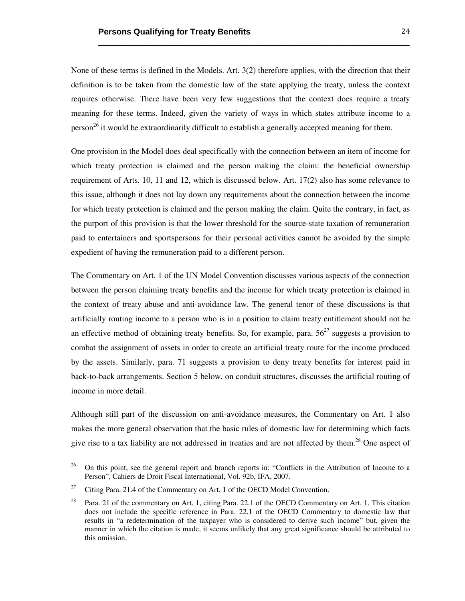None of these terms is defined in the Models. Art. 3(2) therefore applies, with the direction that their definition is to be taken from the domestic law of the state applying the treaty, unless the context requires otherwise. There have been very few suggestions that the context does require a treaty meaning for these terms. Indeed, given the variety of ways in which states attribute income to a person<sup>26</sup> it would be extraordinarily difficult to establish a generally accepted meaning for them.

\_\_\_\_\_\_\_\_\_\_\_\_\_\_\_\_\_\_\_\_\_\_\_\_\_\_\_\_\_\_\_\_\_\_\_\_\_\_\_\_\_\_\_\_\_\_\_\_\_\_\_\_\_\_\_\_\_\_\_\_\_\_\_\_\_\_\_

One provision in the Model does deal specifically with the connection between an item of income for which treaty protection is claimed and the person making the claim: the beneficial ownership requirement of Arts. 10, 11 and 12, which is discussed below. Art. 17(2) also has some relevance to this issue, although it does not lay down any requirements about the connection between the income for which treaty protection is claimed and the person making the claim. Quite the contrary, in fact, as the purport of this provision is that the lower threshold for the source-state taxation of remuneration paid to entertainers and sportspersons for their personal activities cannot be avoided by the simple expedient of having the remuneration paid to a different person.

The Commentary on Art. 1 of the UN Model Convention discusses various aspects of the connection between the person claiming treaty benefits and the income for which treaty protection is claimed in the context of treaty abuse and anti-avoidance law. The general tenor of these discussions is that artificially routing income to a person who is in a position to claim treaty entitlement should not be an effective method of obtaining treaty benefits. So, for example, para.  $56<sup>27</sup>$  suggests a provision to combat the assignment of assets in order to create an artificial treaty route for the income produced by the assets. Similarly, para. 71 suggests a provision to deny treaty benefits for interest paid in back-to-back arrangements. Section 5 below, on conduit structures, discusses the artificial routing of income in more detail.

Although still part of the discussion on anti-avoidance measures, the Commentary on Art. 1 also makes the more general observation that the basic rules of domestic law for determining which facts give rise to a tax liability are not addressed in treaties and are not affected by them.<sup>28</sup> One aspect of

<sup>&</sup>lt;sup>26</sup> On this point, see the general report and branch reports in: "Conflicts in the Attribution of Income to a Person", Cahiers de Droit Fiscal International, Vol. 92b, IFA, 2007.

<sup>&</sup>lt;sup>27</sup> Citing Para. 21.4 of the Commentary on Art. 1 of the OECD Model Convention.

<sup>&</sup>lt;sup>28</sup> Para. 21 of the commentary on Art. 1, citing Para. 22.1 of the OECD Commentary on Art. 1. This citation does not include the specific reference in Para. 22.1 of the OECD Commentary to domestic law that results in "a redetermination of the taxpayer who is considered to derive such income" but, given the manner in which the citation is made, it seems unlikely that any great significance should be attributed to this omission.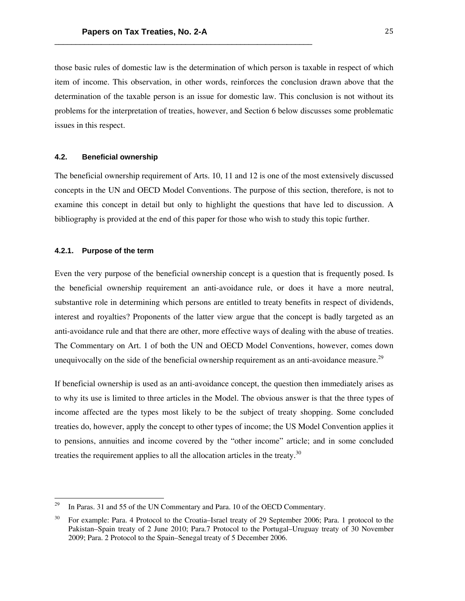those basic rules of domestic law is the determination of which person is taxable in respect of which item of income. This observation, in other words, reinforces the conclusion drawn above that the determination of the taxable person is an issue for domestic law. This conclusion is not without its problems for the interpretation of treaties, however, and Section 6 below discusses some problematic issues in this respect.

## **4.2. Beneficial ownership**

The beneficial ownership requirement of Arts. 10, 11 and 12 is one of the most extensively discussed concepts in the UN and OECD Model Conventions. The purpose of this section, therefore, is not to examine this concept in detail but only to highlight the questions that have led to discussion. A bibliography is provided at the end of this paper for those who wish to study this topic further.

# **4.2.1. Purpose of the term**

 

Even the very purpose of the beneficial ownership concept is a question that is frequently posed. Is the beneficial ownership requirement an anti-avoidance rule, or does it have a more neutral, substantive role in determining which persons are entitled to treaty benefits in respect of dividends, interest and royalties? Proponents of the latter view argue that the concept is badly targeted as an anti-avoidance rule and that there are other, more effective ways of dealing with the abuse of treaties. The Commentary on Art. 1 of both the UN and OECD Model Conventions, however, comes down unequivocally on the side of the beneficial ownership requirement as an anti-avoidance measure.<sup>29</sup>

If beneficial ownership is used as an anti-avoidance concept, the question then immediately arises as to why its use is limited to three articles in the Model. The obvious answer is that the three types of income affected are the types most likely to be the subject of treaty shopping. Some concluded treaties do, however, apply the concept to other types of income; the US Model Convention applies it to pensions, annuities and income covered by the "other income" article; and in some concluded treaties the requirement applies to all the allocation articles in the treaty.<sup>30</sup>

<sup>&</sup>lt;sup>29</sup> In Paras. 31 and 55 of the UN Commentary and Para. 10 of the OECD Commentary.

<sup>&</sup>lt;sup>30</sup> For example: Para. 4 Protocol to the Croatia–Israel treaty of 29 September 2006; Para. 1 protocol to the Pakistan–Spain treaty of 2 June 2010; Para.7 Protocol to the Portugal–Uruguay treaty of 30 November 2009; Para. 2 Protocol to the Spain–Senegal treaty of 5 December 2006.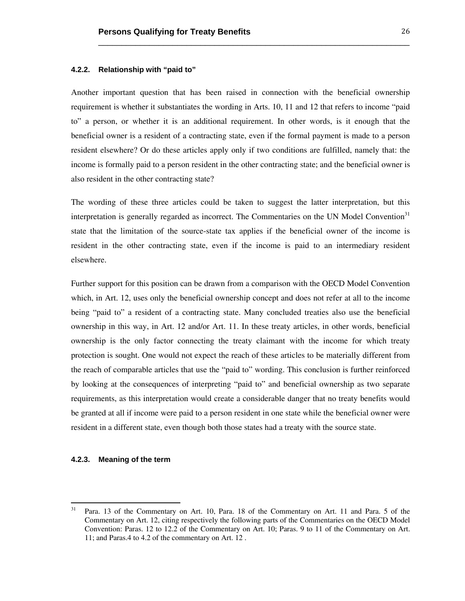#### **4.2.2. Relationship with "paid to"**

Another important question that has been raised in connection with the beneficial ownership requirement is whether it substantiates the wording in Arts. 10, 11 and 12 that refers to income "paid to" a person, or whether it is an additional requirement. In other words, is it enough that the beneficial owner is a resident of a contracting state, even if the formal payment is made to a person resident elsewhere? Or do these articles apply only if two conditions are fulfilled, namely that: the income is formally paid to a person resident in the other contracting state; and the beneficial owner is also resident in the other contracting state?

\_\_\_\_\_\_\_\_\_\_\_\_\_\_\_\_\_\_\_\_\_\_\_\_\_\_\_\_\_\_\_\_\_\_\_\_\_\_\_\_\_\_\_\_\_\_\_\_\_\_\_\_\_\_\_\_\_\_\_\_\_\_\_\_\_\_\_

The wording of these three articles could be taken to suggest the latter interpretation, but this interpretation is generally regarded as incorrect. The Commentaries on the UN Model Convention $31$ state that the limitation of the source-state tax applies if the beneficial owner of the income is resident in the other contracting state, even if the income is paid to an intermediary resident elsewhere.

Further support for this position can be drawn from a comparison with the OECD Model Convention which, in Art. 12, uses only the beneficial ownership concept and does not refer at all to the income being "paid to" a resident of a contracting state. Many concluded treaties also use the beneficial ownership in this way, in Art. 12 and/or Art. 11. In these treaty articles, in other words, beneficial ownership is the only factor connecting the treaty claimant with the income for which treaty protection is sought. One would not expect the reach of these articles to be materially different from the reach of comparable articles that use the "paid to" wording. This conclusion is further reinforced by looking at the consequences of interpreting "paid to" and beneficial ownership as two separate requirements, as this interpretation would create a considerable danger that no treaty benefits would be granted at all if income were paid to a person resident in one state while the beneficial owner were resident in a different state, even though both those states had a treaty with the source state.

# **4.2.3. Meaning of the term**

<sup>&</sup>lt;sup>31</sup> Para. 13 of the Commentary on Art. 10, Para. 18 of the Commentary on Art. 11 and Para. 5 of the Commentary on Art. 12, citing respectively the following parts of the Commentaries on the OECD Model Convention: Paras. 12 to 12.2 of the Commentary on Art. 10; Paras. 9 to 11 of the Commentary on Art. 11; and Paras.4 to 4.2 of the commentary on Art. 12 .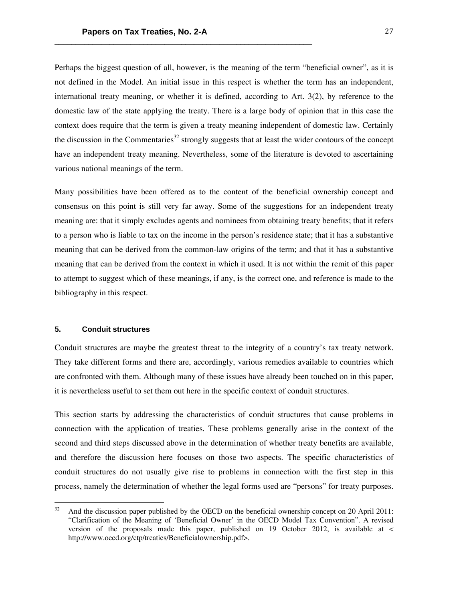Perhaps the biggest question of all, however, is the meaning of the term "beneficial owner", as it is not defined in the Model. An initial issue in this respect is whether the term has an independent, international treaty meaning, or whether it is defined, according to Art. 3(2), by reference to the domestic law of the state applying the treaty. There is a large body of opinion that in this case the context does require that the term is given a treaty meaning independent of domestic law. Certainly the discussion in the Commentaries<sup>32</sup> strongly suggests that at least the wider contours of the concept have an independent treaty meaning. Nevertheless, some of the literature is devoted to ascertaining various national meanings of the term.

Many possibilities have been offered as to the content of the beneficial ownership concept and consensus on this point is still very far away. Some of the suggestions for an independent treaty meaning are: that it simply excludes agents and nominees from obtaining treaty benefits; that it refers to a person who is liable to tax on the income in the person's residence state; that it has a substantive meaning that can be derived from the common-law origins of the term; and that it has a substantive meaning that can be derived from the context in which it used. It is not within the remit of this paper to attempt to suggest which of these meanings, if any, is the correct one, and reference is made to the bibliography in this respect.

#### **5. Conduit structures**

 

Conduit structures are maybe the greatest threat to the integrity of a country's tax treaty network. They take different forms and there are, accordingly, various remedies available to countries which are confronted with them. Although many of these issues have already been touched on in this paper, it is nevertheless useful to set them out here in the specific context of conduit structures.

This section starts by addressing the characteristics of conduit structures that cause problems in connection with the application of treaties. These problems generally arise in the context of the second and third steps discussed above in the determination of whether treaty benefits are available, and therefore the discussion here focuses on those two aspects. The specific characteristics of conduit structures do not usually give rise to problems in connection with the first step in this process, namely the determination of whether the legal forms used are "persons" for treaty purposes.

<sup>32</sup> And the discussion paper published by the OECD on the beneficial ownership concept on 20 April 2011: "Clarification of the Meaning of 'Beneficial Owner' in the OECD Model Tax Convention". A revised version of the proposals made this paper, published on 19 October 2012, is available at < http://www.oecd.org/ctp/treaties/Beneficialownership.pdf>.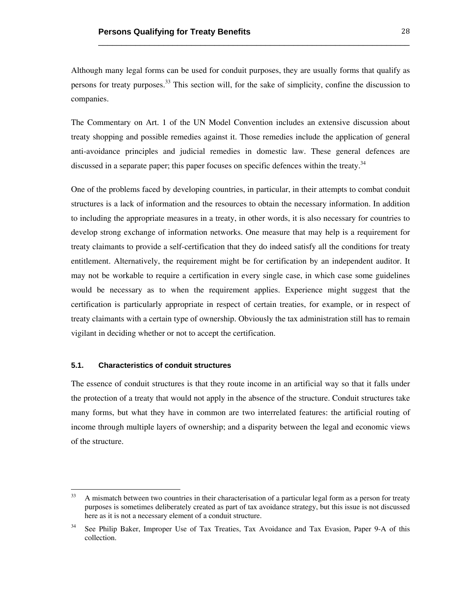Although many legal forms can be used for conduit purposes, they are usually forms that qualify as persons for treaty purposes.<sup>33</sup> This section will, for the sake of simplicity, confine the discussion to companies.

\_\_\_\_\_\_\_\_\_\_\_\_\_\_\_\_\_\_\_\_\_\_\_\_\_\_\_\_\_\_\_\_\_\_\_\_\_\_\_\_\_\_\_\_\_\_\_\_\_\_\_\_\_\_\_\_\_\_\_\_\_\_\_\_\_\_\_

The Commentary on Art. 1 of the UN Model Convention includes an extensive discussion about treaty shopping and possible remedies against it. Those remedies include the application of general anti-avoidance principles and judicial remedies in domestic law. These general defences are discussed in a separate paper; this paper focuses on specific defences within the treaty.<sup>34</sup>

One of the problems faced by developing countries, in particular, in their attempts to combat conduit structures is a lack of information and the resources to obtain the necessary information. In addition to including the appropriate measures in a treaty, in other words, it is also necessary for countries to develop strong exchange of information networks. One measure that may help is a requirement for treaty claimants to provide a self-certification that they do indeed satisfy all the conditions for treaty entitlement. Alternatively, the requirement might be for certification by an independent auditor. It may not be workable to require a certification in every single case, in which case some guidelines would be necessary as to when the requirement applies. Experience might suggest that the certification is particularly appropriate in respect of certain treaties, for example, or in respect of treaty claimants with a certain type of ownership. Obviously the tax administration still has to remain vigilant in deciding whether or not to accept the certification.

# **5.1. Characteristics of conduit structures**

 

The essence of conduit structures is that they route income in an artificial way so that it falls under the protection of a treaty that would not apply in the absence of the structure. Conduit structures take many forms, but what they have in common are two interrelated features: the artificial routing of income through multiple layers of ownership; and a disparity between the legal and economic views of the structure.

<sup>&</sup>lt;sup>33</sup> A mismatch between two countries in their characterisation of a particular legal form as a person for treaty purposes is sometimes deliberately created as part of tax avoidance strategy, but this issue is not discussed here as it is not a necessary element of a conduit structure.

See Philip Baker, Improper Use of Tax Treaties, Tax Avoidance and Tax Evasion, Paper 9-A of this collection.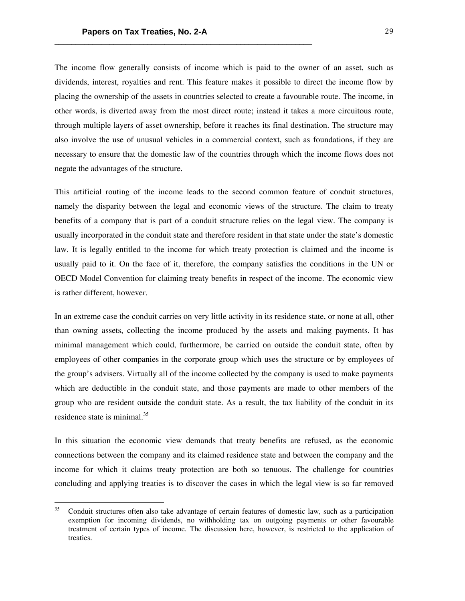The income flow generally consists of income which is paid to the owner of an asset, such as dividends, interest, royalties and rent. This feature makes it possible to direct the income flow by placing the ownership of the assets in countries selected to create a favourable route. The income, in other words, is diverted away from the most direct route; instead it takes a more circuitous route, through multiple layers of asset ownership, before it reaches its final destination. The structure may also involve the use of unusual vehicles in a commercial context, such as foundations, if they are necessary to ensure that the domestic law of the countries through which the income flows does not negate the advantages of the structure.

This artificial routing of the income leads to the second common feature of conduit structures, namely the disparity between the legal and economic views of the structure. The claim to treaty benefits of a company that is part of a conduit structure relies on the legal view. The company is usually incorporated in the conduit state and therefore resident in that state under the state's domestic law. It is legally entitled to the income for which treaty protection is claimed and the income is usually paid to it. On the face of it, therefore, the company satisfies the conditions in the UN or OECD Model Convention for claiming treaty benefits in respect of the income. The economic view is rather different, however.

In an extreme case the conduit carries on very little activity in its residence state, or none at all, other than owning assets, collecting the income produced by the assets and making payments. It has minimal management which could, furthermore, be carried on outside the conduit state, often by employees of other companies in the corporate group which uses the structure or by employees of the group's advisers. Virtually all of the income collected by the company is used to make payments which are deductible in the conduit state, and those payments are made to other members of the group who are resident outside the conduit state. As a result, the tax liability of the conduit in its residence state is minimal. $^{35}$ 

In this situation the economic view demands that treaty benefits are refused, as the economic connections between the company and its claimed residence state and between the company and the income for which it claims treaty protection are both so tenuous. The challenge for countries concluding and applying treaties is to discover the cases in which the legal view is so far removed

<sup>35</sup> Conduit structures often also take advantage of certain features of domestic law, such as a participation exemption for incoming dividends, no withholding tax on outgoing payments or other favourable treatment of certain types of income. The discussion here, however, is restricted to the application of treaties.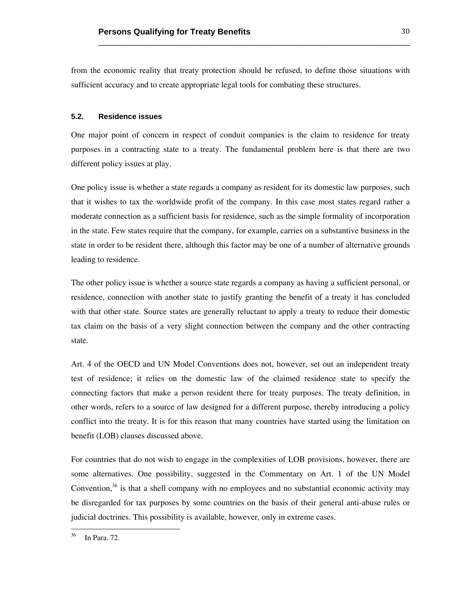from the economic reality that treaty protection should be refused, to define those situations with sufficient accuracy and to create appropriate legal tools for combating these structures.

\_\_\_\_\_\_\_\_\_\_\_\_\_\_\_\_\_\_\_\_\_\_\_\_\_\_\_\_\_\_\_\_\_\_\_\_\_\_\_\_\_\_\_\_\_\_\_\_\_\_\_\_\_\_\_\_\_\_\_\_\_\_\_\_\_\_\_

# **5.2. Residence issues**

One major point of concern in respect of conduit companies is the claim to residence for treaty purposes in a contracting state to a treaty. The fundamental problem here is that there are two different policy issues at play.

One policy issue is whether a state regards a company as resident for its domestic law purposes, such that it wishes to tax the worldwide profit of the company. In this case most states regard rather a moderate connection as a sufficient basis for residence, such as the simple formality of incorporation in the state. Few states require that the company, for example, carries on a substantive business in the state in order to be resident there, although this factor may be one of a number of alternative grounds leading to residence.

The other policy issue is whether a source state regards a company as having a sufficient personal, or residence, connection with another state to justify granting the benefit of a treaty it has concluded with that other state. Source states are generally reluctant to apply a treaty to reduce their domestic tax claim on the basis of a very slight connection between the company and the other contracting state.

Art. 4 of the OECD and UN Model Conventions does not, however, set out an independent treaty test of residence; it relies on the domestic law of the claimed residence state to specify the connecting factors that make a person resident there for treaty purposes. The treaty definition, in other words, refers to a source of law designed for a different purpose, thereby introducing a policy conflict into the treaty. It is for this reason that many countries have started using the limitation on benefit (LOB) clauses discussed above.

For countries that do not wish to engage in the complexities of LOB provisions, however, there are some alternatives. One possibility, suggested in the Commentary on Art. 1 of the UN Model Convention, $36$  is that a shell company with no employees and no substantial economic activity may be disregarded for tax purposes by some countries on the basis of their general anti-abuse rules or judicial doctrines. This possibility is available, however, only in extreme cases.

<sup>36</sup> In Para. 72.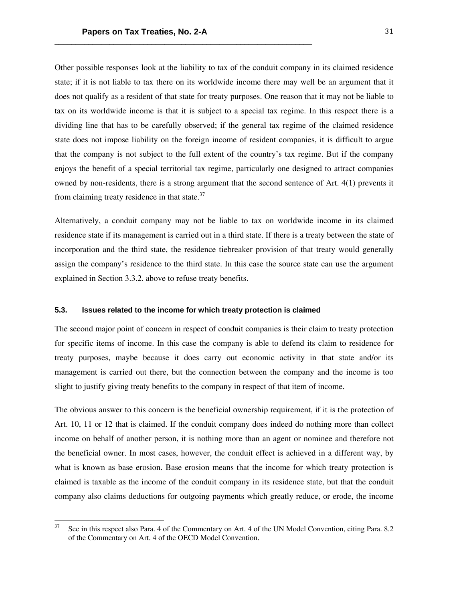Other possible responses look at the liability to tax of the conduit company in its claimed residence state; if it is not liable to tax there on its worldwide income there may well be an argument that it does not qualify as a resident of that state for treaty purposes. One reason that it may not be liable to tax on its worldwide income is that it is subject to a special tax regime. In this respect there is a dividing line that has to be carefully observed; if the general tax regime of the claimed residence state does not impose liability on the foreign income of resident companies, it is difficult to argue that the company is not subject to the full extent of the country's tax regime. But if the company enjoys the benefit of a special territorial tax regime, particularly one designed to attract companies owned by non-residents, there is a strong argument that the second sentence of Art. 4(1) prevents it from claiming treaty residence in that state. $37$ 

Alternatively, a conduit company may not be liable to tax on worldwide income in its claimed residence state if its management is carried out in a third state. If there is a treaty between the state of incorporation and the third state, the residence tiebreaker provision of that treaty would generally assign the company's residence to the third state. In this case the source state can use the argument explained in Section 3.3.2. above to refuse treaty benefits.

#### **5.3. Issues related to the income for which treaty protection is claimed**

The second major point of concern in respect of conduit companies is their claim to treaty protection for specific items of income. In this case the company is able to defend its claim to residence for treaty purposes, maybe because it does carry out economic activity in that state and/or its management is carried out there, but the connection between the company and the income is too slight to justify giving treaty benefits to the company in respect of that item of income.

The obvious answer to this concern is the beneficial ownership requirement, if it is the protection of Art. 10, 11 or 12 that is claimed. If the conduit company does indeed do nothing more than collect income on behalf of another person, it is nothing more than an agent or nominee and therefore not the beneficial owner. In most cases, however, the conduit effect is achieved in a different way, by what is known as base erosion. Base erosion means that the income for which treaty protection is claimed is taxable as the income of the conduit company in its residence state, but that the conduit company also claims deductions for outgoing payments which greatly reduce, or erode, the income

<sup>&</sup>lt;sup>37</sup> See in this respect also Para. 4 of the Commentary on Art. 4 of the UN Model Convention, citing Para. 8.2 of the Commentary on Art. 4 of the OECD Model Convention.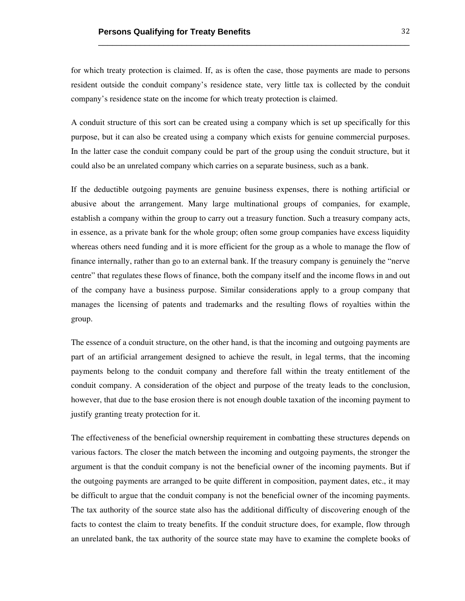for which treaty protection is claimed. If, as is often the case, those payments are made to persons resident outside the conduit company's residence state, very little tax is collected by the conduit company's residence state on the income for which treaty protection is claimed.

\_\_\_\_\_\_\_\_\_\_\_\_\_\_\_\_\_\_\_\_\_\_\_\_\_\_\_\_\_\_\_\_\_\_\_\_\_\_\_\_\_\_\_\_\_\_\_\_\_\_\_\_\_\_\_\_\_\_\_\_\_\_\_\_\_\_\_

A conduit structure of this sort can be created using a company which is set up specifically for this purpose, but it can also be created using a company which exists for genuine commercial purposes. In the latter case the conduit company could be part of the group using the conduit structure, but it could also be an unrelated company which carries on a separate business, such as a bank.

If the deductible outgoing payments are genuine business expenses, there is nothing artificial or abusive about the arrangement. Many large multinational groups of companies, for example, establish a company within the group to carry out a treasury function. Such a treasury company acts, in essence, as a private bank for the whole group; often some group companies have excess liquidity whereas others need funding and it is more efficient for the group as a whole to manage the flow of finance internally, rather than go to an external bank. If the treasury company is genuinely the "nerve centre" that regulates these flows of finance, both the company itself and the income flows in and out of the company have a business purpose. Similar considerations apply to a group company that manages the licensing of patents and trademarks and the resulting flows of royalties within the group.

The essence of a conduit structure, on the other hand, is that the incoming and outgoing payments are part of an artificial arrangement designed to achieve the result, in legal terms, that the incoming payments belong to the conduit company and therefore fall within the treaty entitlement of the conduit company. A consideration of the object and purpose of the treaty leads to the conclusion, however, that due to the base erosion there is not enough double taxation of the incoming payment to justify granting treaty protection for it.

The effectiveness of the beneficial ownership requirement in combatting these structures depends on various factors. The closer the match between the incoming and outgoing payments, the stronger the argument is that the conduit company is not the beneficial owner of the incoming payments. But if the outgoing payments are arranged to be quite different in composition, payment dates, etc., it may be difficult to argue that the conduit company is not the beneficial owner of the incoming payments. The tax authority of the source state also has the additional difficulty of discovering enough of the facts to contest the claim to treaty benefits. If the conduit structure does, for example, flow through an unrelated bank, the tax authority of the source state may have to examine the complete books of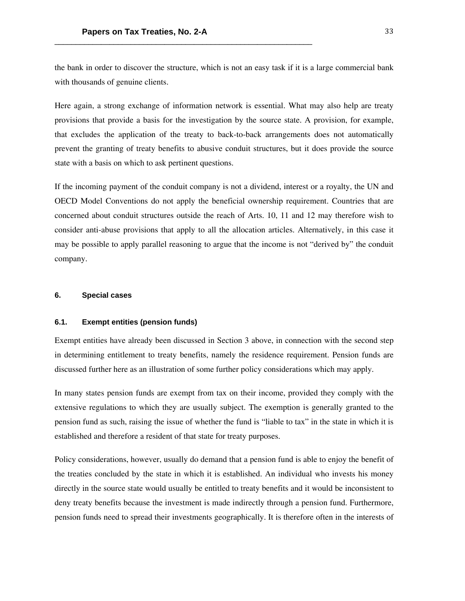the bank in order to discover the structure, which is not an easy task if it is a large commercial bank with thousands of genuine clients.

Here again, a strong exchange of information network is essential. What may also help are treaty provisions that provide a basis for the investigation by the source state. A provision, for example, that excludes the application of the treaty to back-to-back arrangements does not automatically prevent the granting of treaty benefits to abusive conduit structures, but it does provide the source state with a basis on which to ask pertinent questions.

If the incoming payment of the conduit company is not a dividend, interest or a royalty, the UN and OECD Model Conventions do not apply the beneficial ownership requirement. Countries that are concerned about conduit structures outside the reach of Arts. 10, 11 and 12 may therefore wish to consider anti-abuse provisions that apply to all the allocation articles. Alternatively, in this case it may be possible to apply parallel reasoning to argue that the income is not "derived by" the conduit company.

#### **6. Special cases**

#### **6.1. Exempt entities (pension funds)**

Exempt entities have already been discussed in Section 3 above, in connection with the second step in determining entitlement to treaty benefits, namely the residence requirement. Pension funds are discussed further here as an illustration of some further policy considerations which may apply.

In many states pension funds are exempt from tax on their income, provided they comply with the extensive regulations to which they are usually subject. The exemption is generally granted to the pension fund as such, raising the issue of whether the fund is "liable to tax" in the state in which it is established and therefore a resident of that state for treaty purposes.

Policy considerations, however, usually do demand that a pension fund is able to enjoy the benefit of the treaties concluded by the state in which it is established. An individual who invests his money directly in the source state would usually be entitled to treaty benefits and it would be inconsistent to deny treaty benefits because the investment is made indirectly through a pension fund. Furthermore, pension funds need to spread their investments geographically. It is therefore often in the interests of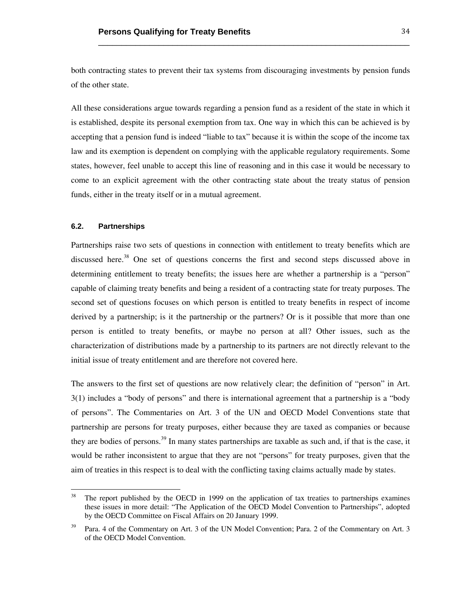both contracting states to prevent their tax systems from discouraging investments by pension funds of the other state.

\_\_\_\_\_\_\_\_\_\_\_\_\_\_\_\_\_\_\_\_\_\_\_\_\_\_\_\_\_\_\_\_\_\_\_\_\_\_\_\_\_\_\_\_\_\_\_\_\_\_\_\_\_\_\_\_\_\_\_\_\_\_\_\_\_\_\_

All these considerations argue towards regarding a pension fund as a resident of the state in which it is established, despite its personal exemption from tax. One way in which this can be achieved is by accepting that a pension fund is indeed "liable to tax" because it is within the scope of the income tax law and its exemption is dependent on complying with the applicable regulatory requirements. Some states, however, feel unable to accept this line of reasoning and in this case it would be necessary to come to an explicit agreement with the other contracting state about the treaty status of pension funds, either in the treaty itself or in a mutual agreement.

# **6.2. Partnerships**

 

Partnerships raise two sets of questions in connection with entitlement to treaty benefits which are discussed here.<sup>38</sup> One set of questions concerns the first and second steps discussed above in determining entitlement to treaty benefits; the issues here are whether a partnership is a "person" capable of claiming treaty benefits and being a resident of a contracting state for treaty purposes. The second set of questions focuses on which person is entitled to treaty benefits in respect of income derived by a partnership; is it the partnership or the partners? Or is it possible that more than one person is entitled to treaty benefits, or maybe no person at all? Other issues, such as the characterization of distributions made by a partnership to its partners are not directly relevant to the initial issue of treaty entitlement and are therefore not covered here.

The answers to the first set of questions are now relatively clear; the definition of "person" in Art. 3(1) includes a "body of persons" and there is international agreement that a partnership is a "body of persons". The Commentaries on Art. 3 of the UN and OECD Model Conventions state that partnership are persons for treaty purposes, either because they are taxed as companies or because they are bodies of persons.<sup>39</sup> In many states partnerships are taxable as such and, if that is the case, it would be rather inconsistent to argue that they are not "persons" for treaty purposes, given that the aim of treaties in this respect is to deal with the conflicting taxing claims actually made by states.

<sup>&</sup>lt;sup>38</sup> The report published by the OECD in 1999 on the application of tax treaties to partnerships examines these issues in more detail: "The Application of the OECD Model Convention to Partnerships", adopted by the OECD Committee on Fiscal Affairs on 20 January 1999.

Para. 4 of the Commentary on Art. 3 of the UN Model Convention; Para. 2 of the Commentary on Art. 3 of the OECD Model Convention.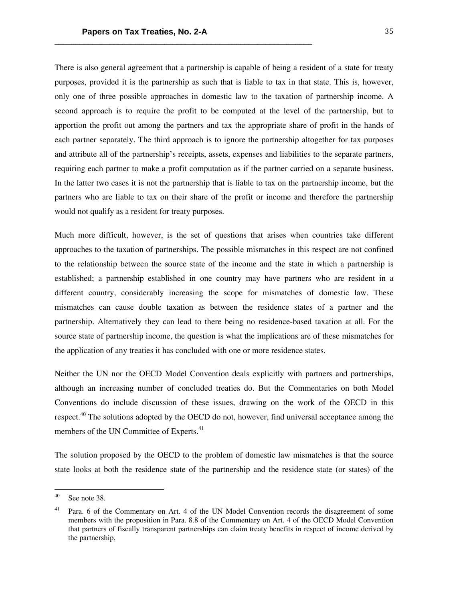There is also general agreement that a partnership is capable of being a resident of a state for treaty purposes, provided it is the partnership as such that is liable to tax in that state. This is, however, only one of three possible approaches in domestic law to the taxation of partnership income. A second approach is to require the profit to be computed at the level of the partnership, but to apportion the profit out among the partners and tax the appropriate share of profit in the hands of each partner separately. The third approach is to ignore the partnership altogether for tax purposes and attribute all of the partnership's receipts, assets, expenses and liabilities to the separate partners, requiring each partner to make a profit computation as if the partner carried on a separate business. In the latter two cases it is not the partnership that is liable to tax on the partnership income, but the partners who are liable to tax on their share of the profit or income and therefore the partnership would not qualify as a resident for treaty purposes.

Much more difficult, however, is the set of questions that arises when countries take different approaches to the taxation of partnerships. The possible mismatches in this respect are not confined to the relationship between the source state of the income and the state in which a partnership is established; a partnership established in one country may have partners who are resident in a different country, considerably increasing the scope for mismatches of domestic law. These mismatches can cause double taxation as between the residence states of a partner and the partnership. Alternatively they can lead to there being no residence-based taxation at all. For the source state of partnership income, the question is what the implications are of these mismatches for the application of any treaties it has concluded with one or more residence states.

Neither the UN nor the OECD Model Convention deals explicitly with partners and partnerships, although an increasing number of concluded treaties do. But the Commentaries on both Model Conventions do include discussion of these issues, drawing on the work of the OECD in this respect.<sup>40</sup> The solutions adopted by the OECD do not, however, find universal acceptance among the members of the UN Committee of Experts.<sup>41</sup>

The solution proposed by the OECD to the problem of domestic law mismatches is that the source state looks at both the residence state of the partnership and the residence state (or states) of the

 $40$  See note 38.

<sup>&</sup>lt;sup>41</sup> Para. 6 of the Commentary on Art. 4 of the UN Model Convention records the disagreement of some members with the proposition in Para. 8.8 of the Commentary on Art. 4 of the OECD Model Convention that partners of fiscally transparent partnerships can claim treaty benefits in respect of income derived by the partnership.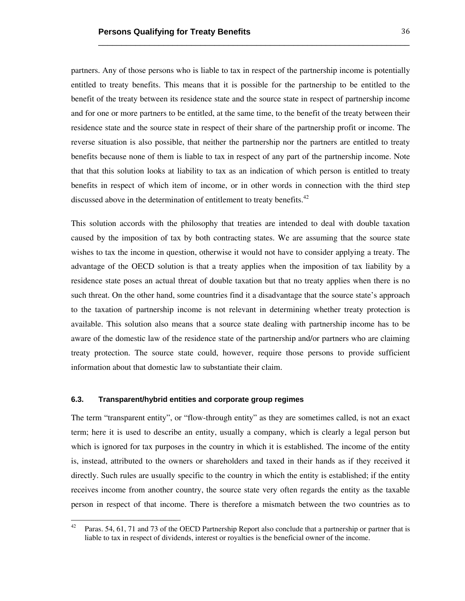partners. Any of those persons who is liable to tax in respect of the partnership income is potentially entitled to treaty benefits. This means that it is possible for the partnership to be entitled to the benefit of the treaty between its residence state and the source state in respect of partnership income and for one or more partners to be entitled, at the same time, to the benefit of the treaty between their residence state and the source state in respect of their share of the partnership profit or income. The reverse situation is also possible, that neither the partnership nor the partners are entitled to treaty benefits because none of them is liable to tax in respect of any part of the partnership income. Note that that this solution looks at liability to tax as an indication of which person is entitled to treaty benefits in respect of which item of income, or in other words in connection with the third step discussed above in the determination of entitlement to treaty benefits. $42$ 

\_\_\_\_\_\_\_\_\_\_\_\_\_\_\_\_\_\_\_\_\_\_\_\_\_\_\_\_\_\_\_\_\_\_\_\_\_\_\_\_\_\_\_\_\_\_\_\_\_\_\_\_\_\_\_\_\_\_\_\_\_\_\_\_\_\_\_

This solution accords with the philosophy that treaties are intended to deal with double taxation caused by the imposition of tax by both contracting states. We are assuming that the source state wishes to tax the income in question, otherwise it would not have to consider applying a treaty. The advantage of the OECD solution is that a treaty applies when the imposition of tax liability by a residence state poses an actual threat of double taxation but that no treaty applies when there is no such threat. On the other hand, some countries find it a disadvantage that the source state's approach to the taxation of partnership income is not relevant in determining whether treaty protection is available. This solution also means that a source state dealing with partnership income has to be aware of the domestic law of the residence state of the partnership and/or partners who are claiming treaty protection. The source state could, however, require those persons to provide sufficient information about that domestic law to substantiate their claim.

### **6.3. Transparent/hybrid entities and corporate group regimes**

 

The term "transparent entity", or "flow-through entity" as they are sometimes called, is not an exact term; here it is used to describe an entity, usually a company, which is clearly a legal person but which is ignored for tax purposes in the country in which it is established. The income of the entity is, instead, attributed to the owners or shareholders and taxed in their hands as if they received it directly. Such rules are usually specific to the country in which the entity is established; if the entity receives income from another country, the source state very often regards the entity as the taxable person in respect of that income. There is therefore a mismatch between the two countries as to

<sup>&</sup>lt;sup>42</sup> Paras. 54, 61, 71 and 73 of the OECD Partnership Report also conclude that a partnership or partner that is liable to tax in respect of dividends, interest or royalties is the beneficial owner of the income.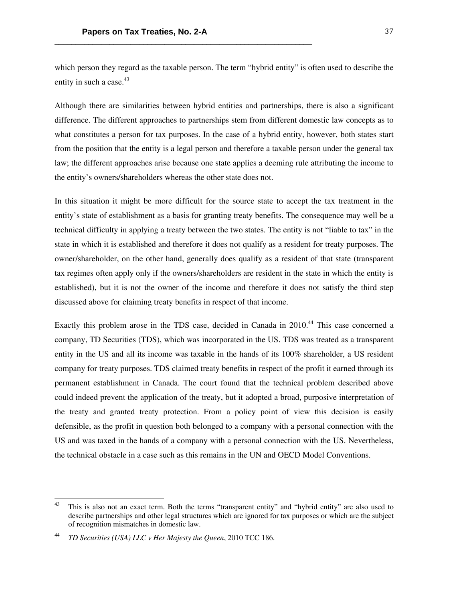which person they regard as the taxable person. The term "hybrid entity" is often used to describe the entity in such a case.<sup>43</sup>

Although there are similarities between hybrid entities and partnerships, there is also a significant difference. The different approaches to partnerships stem from different domestic law concepts as to what constitutes a person for tax purposes. In the case of a hybrid entity, however, both states start from the position that the entity is a legal person and therefore a taxable person under the general tax law; the different approaches arise because one state applies a deeming rule attributing the income to the entity's owners/shareholders whereas the other state does not.

In this situation it might be more difficult for the source state to accept the tax treatment in the entity's state of establishment as a basis for granting treaty benefits. The consequence may well be a technical difficulty in applying a treaty between the two states. The entity is not "liable to tax" in the state in which it is established and therefore it does not qualify as a resident for treaty purposes. The owner/shareholder, on the other hand, generally does qualify as a resident of that state (transparent tax regimes often apply only if the owners/shareholders are resident in the state in which the entity is established), but it is not the owner of the income and therefore it does not satisfy the third step discussed above for claiming treaty benefits in respect of that income.

Exactly this problem arose in the TDS case, decided in Canada in 2010.<sup>44</sup> This case concerned a company, TD Securities (TDS), which was incorporated in the US. TDS was treated as a transparent entity in the US and all its income was taxable in the hands of its 100% shareholder, a US resident company for treaty purposes. TDS claimed treaty benefits in respect of the profit it earned through its permanent establishment in Canada. The court found that the technical problem described above could indeed prevent the application of the treaty, but it adopted a broad, purposive interpretation of the treaty and granted treaty protection. From a policy point of view this decision is easily defensible, as the profit in question both belonged to a company with a personal connection with the US and was taxed in the hands of a company with a personal connection with the US. Nevertheless, the technical obstacle in a case such as this remains in the UN and OECD Model Conventions.

<sup>&</sup>lt;sup>43</sup> This is also not an exact term. Both the terms "transparent entity" and "hybrid entity" are also used to describe partnerships and other legal structures which are ignored for tax purposes or which are the subject of recognition mismatches in domestic law.

<sup>44</sup> *TD Securities (USA) LLC v Her Majesty the Queen*, 2010 TCC 186.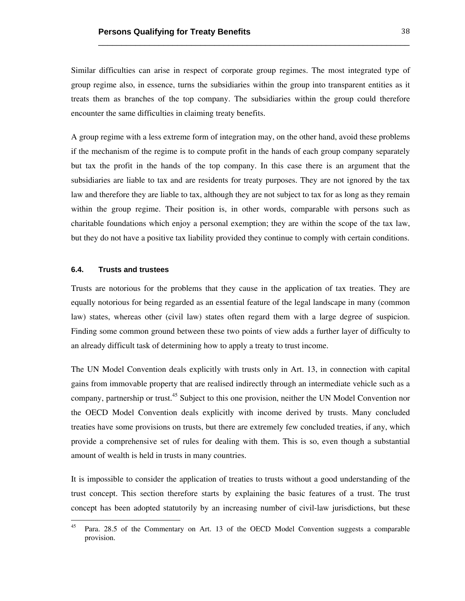Similar difficulties can arise in respect of corporate group regimes. The most integrated type of group regime also, in essence, turns the subsidiaries within the group into transparent entities as it treats them as branches of the top company. The subsidiaries within the group could therefore encounter the same difficulties in claiming treaty benefits.

\_\_\_\_\_\_\_\_\_\_\_\_\_\_\_\_\_\_\_\_\_\_\_\_\_\_\_\_\_\_\_\_\_\_\_\_\_\_\_\_\_\_\_\_\_\_\_\_\_\_\_\_\_\_\_\_\_\_\_\_\_\_\_\_\_\_\_

A group regime with a less extreme form of integration may, on the other hand, avoid these problems if the mechanism of the regime is to compute profit in the hands of each group company separately but tax the profit in the hands of the top company. In this case there is an argument that the subsidiaries are liable to tax and are residents for treaty purposes. They are not ignored by the tax law and therefore they are liable to tax, although they are not subject to tax for as long as they remain within the group regime. Their position is, in other words, comparable with persons such as charitable foundations which enjoy a personal exemption; they are within the scope of the tax law, but they do not have a positive tax liability provided they continue to comply with certain conditions.

#### **6.4. Trusts and trustees**

 

Trusts are notorious for the problems that they cause in the application of tax treaties. They are equally notorious for being regarded as an essential feature of the legal landscape in many (common law) states, whereas other (civil law) states often regard them with a large degree of suspicion. Finding some common ground between these two points of view adds a further layer of difficulty to an already difficult task of determining how to apply a treaty to trust income.

The UN Model Convention deals explicitly with trusts only in Art. 13, in connection with capital gains from immovable property that are realised indirectly through an intermediate vehicle such as a company, partnership or trust.<sup>45</sup> Subject to this one provision, neither the UN Model Convention nor the OECD Model Convention deals explicitly with income derived by trusts. Many concluded treaties have some provisions on trusts, but there are extremely few concluded treaties, if any, which provide a comprehensive set of rules for dealing with them. This is so, even though a substantial amount of wealth is held in trusts in many countries.

It is impossible to consider the application of treaties to trusts without a good understanding of the trust concept. This section therefore starts by explaining the basic features of a trust. The trust concept has been adopted statutorily by an increasing number of civil-law jurisdictions, but these

<sup>&</sup>lt;sup>45</sup> Para. 28.5 of the Commentary on Art. 13 of the OECD Model Convention suggests a comparable provision.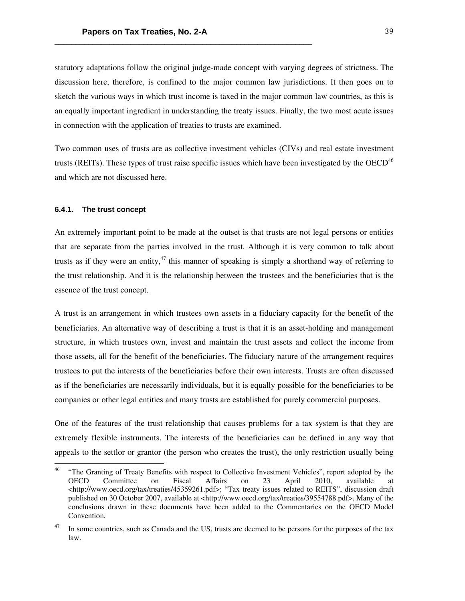statutory adaptations follow the original judge-made concept with varying degrees of strictness. The discussion here, therefore, is confined to the major common law jurisdictions. It then goes on to sketch the various ways in which trust income is taxed in the major common law countries, as this is an equally important ingredient in understanding the treaty issues. Finally, the two most acute issues in connection with the application of treaties to trusts are examined.

Two common uses of trusts are as collective investment vehicles (CIVs) and real estate investment trusts (REITs). These types of trust raise specific issues which have been investigated by the  $OECD<sup>46</sup>$ and which are not discussed here.

#### **6.4.1. The trust concept**

 

An extremely important point to be made at the outset is that trusts are not legal persons or entities that are separate from the parties involved in the trust. Although it is very common to talk about trusts as if they were an entity,<sup>47</sup> this manner of speaking is simply a shorthand way of referring to the trust relationship. And it is the relationship between the trustees and the beneficiaries that is the essence of the trust concept.

A trust is an arrangement in which trustees own assets in a fiduciary capacity for the benefit of the beneficiaries. An alternative way of describing a trust is that it is an asset-holding and management structure, in which trustees own, invest and maintain the trust assets and collect the income from those assets, all for the benefit of the beneficiaries. The fiduciary nature of the arrangement requires trustees to put the interests of the beneficiaries before their own interests. Trusts are often discussed as if the beneficiaries are necessarily individuals, but it is equally possible for the beneficiaries to be companies or other legal entities and many trusts are established for purely commercial purposes.

One of the features of the trust relationship that causes problems for a tax system is that they are extremely flexible instruments. The interests of the beneficiaries can be defined in any way that appeals to the settlor or grantor (the person who creates the trust), the only restriction usually being

<sup>&</sup>lt;sup>46</sup> "The Granting of Treaty Benefits with respect to Collective Investment Vehicles", report adopted by the OECD Committee on Fiscal Affairs on 23 April 2010, available at <http://www.oecd.org/tax/treaties/45359261.pdf>; "Tax treaty issues related to REITS", discussion draft published on 30 October 2007, available at <http://www.oecd.org/tax/treaties/39554788.pdf>. Many of the conclusions drawn in these documents have been added to the Commentaries on the OECD Model Convention.

In some countries, such as Canada and the US, trusts are deemed to be persons for the purposes of the tax law.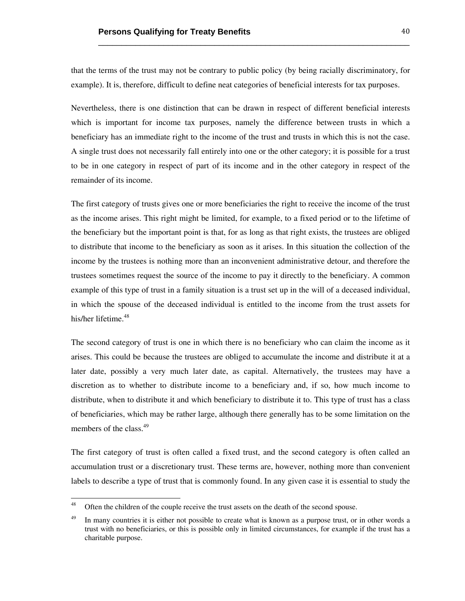that the terms of the trust may not be contrary to public policy (by being racially discriminatory, for example). It is, therefore, difficult to define neat categories of beneficial interests for tax purposes.

\_\_\_\_\_\_\_\_\_\_\_\_\_\_\_\_\_\_\_\_\_\_\_\_\_\_\_\_\_\_\_\_\_\_\_\_\_\_\_\_\_\_\_\_\_\_\_\_\_\_\_\_\_\_\_\_\_\_\_\_\_\_\_\_\_\_\_

Nevertheless, there is one distinction that can be drawn in respect of different beneficial interests which is important for income tax purposes, namely the difference between trusts in which a beneficiary has an immediate right to the income of the trust and trusts in which this is not the case. A single trust does not necessarily fall entirely into one or the other category; it is possible for a trust to be in one category in respect of part of its income and in the other category in respect of the remainder of its income.

The first category of trusts gives one or more beneficiaries the right to receive the income of the trust as the income arises. This right might be limited, for example, to a fixed period or to the lifetime of the beneficiary but the important point is that, for as long as that right exists, the trustees are obliged to distribute that income to the beneficiary as soon as it arises. In this situation the collection of the income by the trustees is nothing more than an inconvenient administrative detour, and therefore the trustees sometimes request the source of the income to pay it directly to the beneficiary. A common example of this type of trust in a family situation is a trust set up in the will of a deceased individual, in which the spouse of the deceased individual is entitled to the income from the trust assets for his/her lifetime.<sup>48</sup>

The second category of trust is one in which there is no beneficiary who can claim the income as it arises. This could be because the trustees are obliged to accumulate the income and distribute it at a later date, possibly a very much later date, as capital. Alternatively, the trustees may have a discretion as to whether to distribute income to a beneficiary and, if so, how much income to distribute, when to distribute it and which beneficiary to distribute it to. This type of trust has a class of beneficiaries, which may be rather large, although there generally has to be some limitation on the members of the class.<sup>49</sup>

The first category of trust is often called a fixed trust, and the second category is often called an accumulation trust or a discretionary trust. These terms are, however, nothing more than convenient labels to describe a type of trust that is commonly found. In any given case it is essential to study the

<sup>&</sup>lt;sup>48</sup> Often the children of the couple receive the trust assets on the death of the second spouse.

<sup>&</sup>lt;sup>49</sup> In many countries it is either not possible to create what is known as a purpose trust, or in other words a trust with no beneficiaries, or this is possible only in limited circumstances, for example if the trust has a charitable purpose.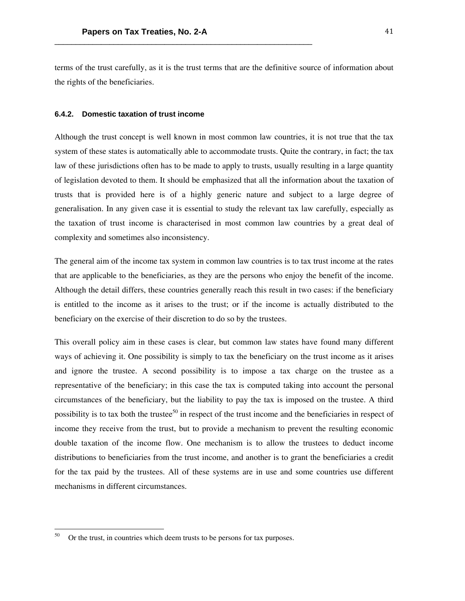terms of the trust carefully, as it is the trust terms that are the definitive source of information about the rights of the beneficiaries.

#### **6.4.2. Domestic taxation of trust income**

Although the trust concept is well known in most common law countries, it is not true that the tax system of these states is automatically able to accommodate trusts. Quite the contrary, in fact; the tax law of these jurisdictions often has to be made to apply to trusts, usually resulting in a large quantity of legislation devoted to them. It should be emphasized that all the information about the taxation of trusts that is provided here is of a highly generic nature and subject to a large degree of generalisation. In any given case it is essential to study the relevant tax law carefully, especially as the taxation of trust income is characterised in most common law countries by a great deal of complexity and sometimes also inconsistency.

The general aim of the income tax system in common law countries is to tax trust income at the rates that are applicable to the beneficiaries, as they are the persons who enjoy the benefit of the income. Although the detail differs, these countries generally reach this result in two cases: if the beneficiary is entitled to the income as it arises to the trust; or if the income is actually distributed to the beneficiary on the exercise of their discretion to do so by the trustees.

This overall policy aim in these cases is clear, but common law states have found many different ways of achieving it. One possibility is simply to tax the beneficiary on the trust income as it arises and ignore the trustee. A second possibility is to impose a tax charge on the trustee as a representative of the beneficiary; in this case the tax is computed taking into account the personal circumstances of the beneficiary, but the liability to pay the tax is imposed on the trustee. A third possibility is to tax both the trustee<sup>50</sup> in respect of the trust income and the beneficiaries in respect of income they receive from the trust, but to provide a mechanism to prevent the resulting economic double taxation of the income flow. One mechanism is to allow the trustees to deduct income distributions to beneficiaries from the trust income, and another is to grant the beneficiaries a credit for the tax paid by the trustees. All of these systems are in use and some countries use different mechanisms in different circumstances.

<sup>&</sup>lt;sup>50</sup> Or the trust, in countries which deem trusts to be persons for tax purposes.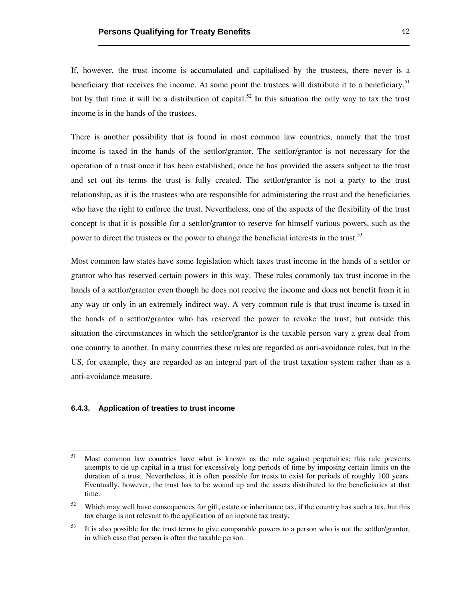If, however, the trust income is accumulated and capitalised by the trustees, there never is a beneficiary that receives the income. At some point the trustees will distribute it to a beneficiary,<sup>51</sup> but by that time it will be a distribution of capital.<sup>52</sup> In this situation the only way to tax the trust income is in the hands of the trustees.

\_\_\_\_\_\_\_\_\_\_\_\_\_\_\_\_\_\_\_\_\_\_\_\_\_\_\_\_\_\_\_\_\_\_\_\_\_\_\_\_\_\_\_\_\_\_\_\_\_\_\_\_\_\_\_\_\_\_\_\_\_\_\_\_\_\_\_

There is another possibility that is found in most common law countries, namely that the trust income is taxed in the hands of the settlor/grantor. The settlor/grantor is not necessary for the operation of a trust once it has been established; once he has provided the assets subject to the trust and set out its terms the trust is fully created. The settlor/grantor is not a party to the trust relationship, as it is the trustees who are responsible for administering the trust and the beneficiaries who have the right to enforce the trust. Nevertheless, one of the aspects of the flexibility of the trust concept is that it is possible for a settlor/grantor to reserve for himself various powers, such as the power to direct the trustees or the power to change the beneficial interests in the trust.<sup>53</sup>

Most common law states have some legislation which taxes trust income in the hands of a settlor or grantor who has reserved certain powers in this way. These rules commonly tax trust income in the hands of a settlor/grantor even though he does not receive the income and does not benefit from it in any way or only in an extremely indirect way. A very common rule is that trust income is taxed in the hands of a settlor/grantor who has reserved the power to revoke the trust, but outside this situation the circumstances in which the settlor/grantor is the taxable person vary a great deal from one country to another. In many countries these rules are regarded as anti-avoidance rules, but in the US, for example, they are regarded as an integral part of the trust taxation system rather than as a anti-avoidance measure.

# **6.4.3. Application of treaties to trust income**

<sup>&</sup>lt;sup>51</sup> Most common law countries have what is known as the rule against perpetuities; this rule prevents attempts to tie up capital in a trust for excessively long periods of time by imposing certain limits on the duration of a trust. Nevertheless, it is often possible for trusts to exist for periods of roughly 100 years. Eventually, however, the trust has to be wound up and the assets distributed to the beneficiaries at that time.

 $52$  Which may well have consequences for gift, estate or inheritance tax, if the country has such a tax, but this tax charge is not relevant to the application of an income tax treaty.

<sup>&</sup>lt;sup>53</sup> It is also possible for the trust terms to give comparable powers to a person who is not the settlor/grantor, in which case that person is often the taxable person.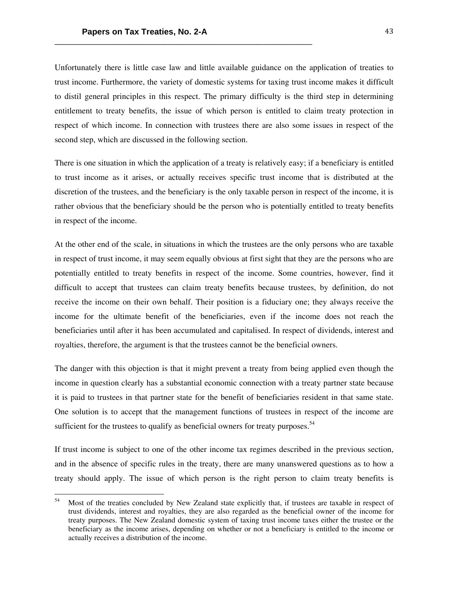Unfortunately there is little case law and little available guidance on the application of treaties to trust income. Furthermore, the variety of domestic systems for taxing trust income makes it difficult to distil general principles in this respect. The primary difficulty is the third step in determining entitlement to treaty benefits, the issue of which person is entitled to claim treaty protection in respect of which income. In connection with trustees there are also some issues in respect of the second step, which are discussed in the following section.

There is one situation in which the application of a treaty is relatively easy; if a beneficiary is entitled to trust income as it arises, or actually receives specific trust income that is distributed at the discretion of the trustees, and the beneficiary is the only taxable person in respect of the income, it is rather obvious that the beneficiary should be the person who is potentially entitled to treaty benefits in respect of the income.

At the other end of the scale, in situations in which the trustees are the only persons who are taxable in respect of trust income, it may seem equally obvious at first sight that they are the persons who are potentially entitled to treaty benefits in respect of the income. Some countries, however, find it difficult to accept that trustees can claim treaty benefits because trustees, by definition, do not receive the income on their own behalf. Their position is a fiduciary one; they always receive the income for the ultimate benefit of the beneficiaries, even if the income does not reach the beneficiaries until after it has been accumulated and capitalised. In respect of dividends, interest and royalties, therefore, the argument is that the trustees cannot be the beneficial owners.

The danger with this objection is that it might prevent a treaty from being applied even though the income in question clearly has a substantial economic connection with a treaty partner state because it is paid to trustees in that partner state for the benefit of beneficiaries resident in that same state. One solution is to accept that the management functions of trustees in respect of the income are sufficient for the trustees to qualify as beneficial owners for treaty purposes.<sup>54</sup>

If trust income is subject to one of the other income tax regimes described in the previous section, and in the absence of specific rules in the treaty, there are many unanswered questions as to how a treaty should apply. The issue of which person is the right person to claim treaty benefits is

<sup>&</sup>lt;sup>54</sup> Most of the treaties concluded by New Zealand state explicitly that, if trustees are taxable in respect of trust dividends, interest and royalties, they are also regarded as the beneficial owner of the income for treaty purposes. The New Zealand domestic system of taxing trust income taxes either the trustee or the beneficiary as the income arises, depending on whether or not a beneficiary is entitled to the income or actually receives a distribution of the income.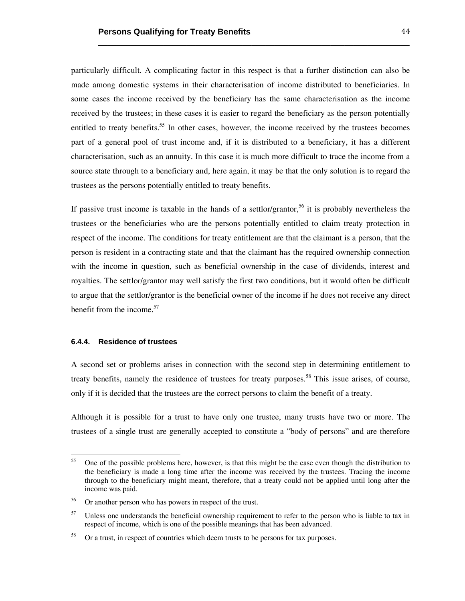particularly difficult. A complicating factor in this respect is that a further distinction can also be made among domestic systems in their characterisation of income distributed to beneficiaries. In some cases the income received by the beneficiary has the same characterisation as the income received by the trustees; in these cases it is easier to regard the beneficiary as the person potentially entitled to treaty benefits.<sup>55</sup> In other cases, however, the income received by the trustees becomes part of a general pool of trust income and, if it is distributed to a beneficiary, it has a different characterisation, such as an annuity. In this case it is much more difficult to trace the income from a source state through to a beneficiary and, here again, it may be that the only solution is to regard the trustees as the persons potentially entitled to treaty benefits.

\_\_\_\_\_\_\_\_\_\_\_\_\_\_\_\_\_\_\_\_\_\_\_\_\_\_\_\_\_\_\_\_\_\_\_\_\_\_\_\_\_\_\_\_\_\_\_\_\_\_\_\_\_\_\_\_\_\_\_\_\_\_\_\_\_\_\_

If passive trust income is taxable in the hands of a settlor/grantor,<sup>56</sup> it is probably nevertheless the trustees or the beneficiaries who are the persons potentially entitled to claim treaty protection in respect of the income. The conditions for treaty entitlement are that the claimant is a person, that the person is resident in a contracting state and that the claimant has the required ownership connection with the income in question, such as beneficial ownership in the case of dividends, interest and royalties. The settlor/grantor may well satisfy the first two conditions, but it would often be difficult to argue that the settlor/grantor is the beneficial owner of the income if he does not receive any direct benefit from the income. $57$ 

#### **6.4.4. Residence of trustees**

 

A second set or problems arises in connection with the second step in determining entitlement to treaty benefits, namely the residence of trustees for treaty purposes.<sup>58</sup> This issue arises, of course, only if it is decided that the trustees are the correct persons to claim the benefit of a treaty.

Although it is possible for a trust to have only one trustee, many trusts have two or more. The trustees of a single trust are generally accepted to constitute a "body of persons" and are therefore

<sup>&</sup>lt;sup>55</sup> One of the possible problems here, however, is that this might be the case even though the distribution to the beneficiary is made a long time after the income was received by the trustees. Tracing the income through to the beneficiary might meant, therefore, that a treaty could not be applied until long after the income was paid.

<sup>&</sup>lt;sup>56</sup> Or another person who has powers in respect of the trust.

<sup>&</sup>lt;sup>57</sup> Unless one understands the beneficial ownership requirement to refer to the person who is liable to tax in respect of income, which is one of the possible meanings that has been advanced.

<sup>&</sup>lt;sup>58</sup> Or a trust, in respect of countries which deem trusts to be persons for tax purposes.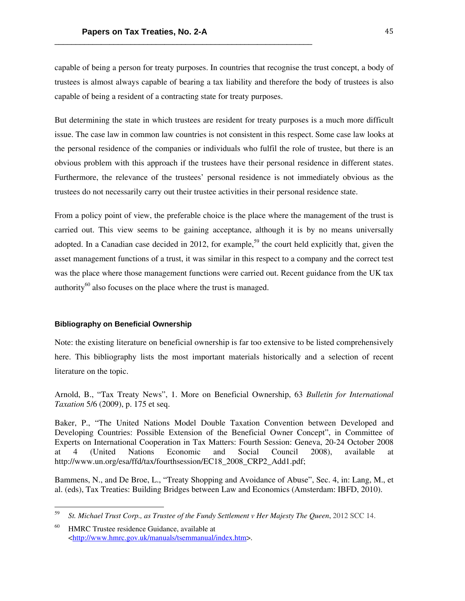capable of being a person for treaty purposes. In countries that recognise the trust concept, a body of trustees is almost always capable of bearing a tax liability and therefore the body of trustees is also capable of being a resident of a contracting state for treaty purposes.

But determining the state in which trustees are resident for treaty purposes is a much more difficult issue. The case law in common law countries is not consistent in this respect. Some case law looks at the personal residence of the companies or individuals who fulfil the role of trustee, but there is an obvious problem with this approach if the trustees have their personal residence in different states. Furthermore, the relevance of the trustees' personal residence is not immediately obvious as the trustees do not necessarily carry out their trustee activities in their personal residence state.

From a policy point of view, the preferable choice is the place where the management of the trust is carried out. This view seems to be gaining acceptance, although it is by no means universally adopted. In a Canadian case decided in 2012, for example,<sup>59</sup> the court held explicitly that, given the asset management functions of a trust, it was similar in this respect to a company and the correct test was the place where those management functions were carried out. Recent guidance from the UK tax authority $^{60}$  also focuses on the place where the trust is managed.

# **Bibliography on Beneficial Ownership**

Note: the existing literature on beneficial ownership is far too extensive to be listed comprehensively here. This bibliography lists the most important materials historically and a selection of recent literature on the topic.

Arnold, B., "Tax Treaty News", 1. More on Beneficial Ownership, 63 *Bulletin for International Taxation* 5/6 (2009), p. 175 et seq.

Baker, P., "The United Nations Model Double Taxation Convention between Developed and Developing Countries: Possible Extension of the Beneficial Owner Concept", in Committee of Experts on International Cooperation in Tax Matters: Fourth Session: Geneva, 20-24 October 2008 at 4 (United Nations Economic and Social Council 2008), available at http://www.un.org/esa/ffd/tax/fourthsession/EC18\_2008\_CRP2\_Add1.pdf;

Bammens, N., and De Broe, L., "Treaty Shopping and Avoidance of Abuse", Sec. 4, in: Lang, M., et al. (eds), Tax Treaties: Building Bridges between Law and Economics (Amsterdam: IBFD, 2010).

<sup>59</sup> *St. Michael Trust Corp., as Trustee of the Fundy Settlement v Her Majesty The Queen*, 2012 SCC 14.

<sup>60</sup> HMRC Trustee residence Guidance, available at <http://www.hmrc.gov.uk/manuals/tsemmanual/index.htm>.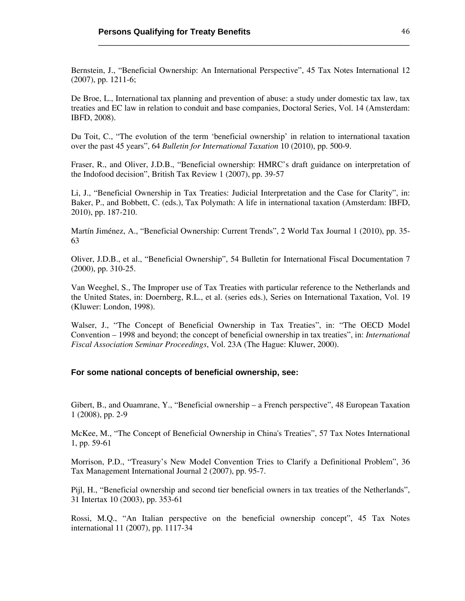Bernstein, J., "Beneficial Ownership: An International Perspective", 45 Tax Notes International 12 (2007), pp. 1211-6;

\_\_\_\_\_\_\_\_\_\_\_\_\_\_\_\_\_\_\_\_\_\_\_\_\_\_\_\_\_\_\_\_\_\_\_\_\_\_\_\_\_\_\_\_\_\_\_\_\_\_\_\_\_\_\_\_\_\_\_\_\_\_\_\_\_\_\_

De Broe, L., International tax planning and prevention of abuse: a study under domestic tax law, tax treaties and EC law in relation to conduit and base companies, Doctoral Series, Vol. 14 (Amsterdam: IBFD, 2008).

Du Toit, C., "The evolution of the term 'beneficial ownership' in relation to international taxation over the past 45 years", 64 *Bulletin for International Taxation* 10 (2010), pp. 500-9.

Fraser, R., and Oliver, J.D.B., "Beneficial ownership: HMRC's draft guidance on interpretation of the Indofood decision", British Tax Review 1 (2007), pp. 39-57

Li, J., "Beneficial Ownership in Tax Treaties: Judicial Interpretation and the Case for Clarity", in: Baker, P., and Bobbett, C. (eds.), Tax Polymath: A life in international taxation (Amsterdam: IBFD, 2010), pp. 187-210.

Martín Jiménez, A., "Beneficial Ownership: Current Trends", 2 World Tax Journal 1 (2010), pp. 35- 63

Oliver, J.D.B., et al., "Beneficial Ownership", 54 Bulletin for International Fiscal Documentation 7 (2000), pp. 310-25.

Van Weeghel, S., The Improper use of Tax Treaties with particular reference to the Netherlands and the United States, in: Doernberg, R.L., et al. (series eds.), Series on International Taxation, Vol. 19 (Kluwer: London, 1998).

Walser, J., "The Concept of Beneficial Ownership in Tax Treaties", in: "The OECD Model Convention – 1998 and beyond; the concept of beneficial ownership in tax treaties", in: *International Fiscal Association Seminar Proceedings*, Vol. 23A (The Hague: Kluwer, 2000).

# **For some national concepts of beneficial ownership, see:**

Gibert, B., and Ouamrane, Y., "Beneficial ownership – a French perspective", 48 European Taxation 1 (2008), pp. 2-9

McKee, M., "The Concept of Beneficial Ownership in China's Treaties", 57 Tax Notes International 1, pp. 59-61

Morrison, P.D., "Treasury's New Model Convention Tries to Clarify a Definitional Problem", 36 Tax Management International Journal 2 (2007), pp. 95-7.

Pijl, H., "Beneficial ownership and second tier beneficial owners in tax treaties of the Netherlands", 31 Intertax 10 (2003), pp. 353-61

Rossi, M.Q., "An Italian perspective on the beneficial ownership concept", 45 Tax Notes international 11 (2007), pp. 1117-34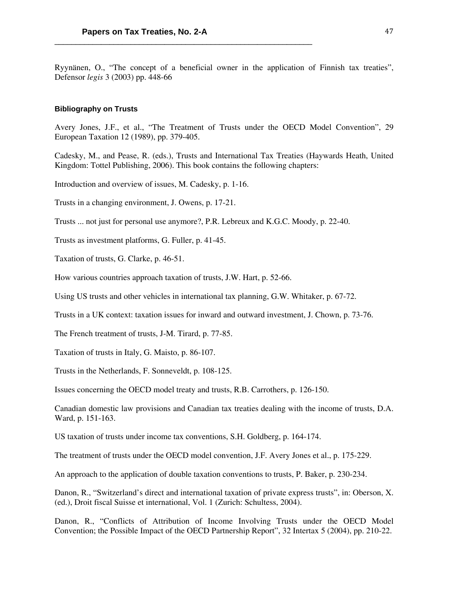Ryynänen, O., "The concept of a beneficial owner in the application of Finnish tax treaties", Defensor *legis* 3 (2003) pp. 448-66

# **Bibliography on Trusts**

Avery Jones, J.F., et al., "The Treatment of Trusts under the OECD Model Convention", 29 European Taxation 12 (1989), pp. 379-405.

Cadesky, M., and Pease, R. (eds.), Trusts and International Tax Treaties (Haywards Heath, United Kingdom: Tottel Publishing, 2006). This book contains the following chapters:

Introduction and overview of issues, M. Cadesky, p. 1-16.

Trusts in a changing environment, J. Owens, p. 17-21.

Trusts ... not just for personal use anymore?, P.R. Lebreux and K.G.C. Moody, p. 22-40.

Trusts as investment platforms, G. Fuller, p. 41-45.

Taxation of trusts, G. Clarke, p. 46-51.

How various countries approach taxation of trusts, J.W. Hart, p. 52-66.

Using US trusts and other vehicles in international tax planning, G.W. Whitaker, p. 67-72.

Trusts in a UK context: taxation issues for inward and outward investment, J. Chown, p. 73-76.

The French treatment of trusts, J-M. Tirard, p. 77-85.

Taxation of trusts in Italy, G. Maisto, p. 86-107.

Trusts in the Netherlands, F. Sonneveldt, p. 108-125.

Issues concerning the OECD model treaty and trusts, R.B. Carrothers, p. 126-150.

Canadian domestic law provisions and Canadian tax treaties dealing with the income of trusts, D.A. Ward, p. 151-163.

US taxation of trusts under income tax conventions, S.H. Goldberg, p. 164-174.

The treatment of trusts under the OECD model convention, J.F. Avery Jones et al., p. 175-229.

An approach to the application of double taxation conventions to trusts, P. Baker, p. 230-234.

Danon, R., "Switzerland's direct and international taxation of private express trusts", in: Oberson, X. (ed.), Droit fiscal Suisse et international, Vol. 1 (Zurich: Schultess, 2004).

Danon, R., "Conflicts of Attribution of Income Involving Trusts under the OECD Model Convention; the Possible Impact of the OECD Partnership Report", 32 Intertax 5 (2004), pp. 210-22.